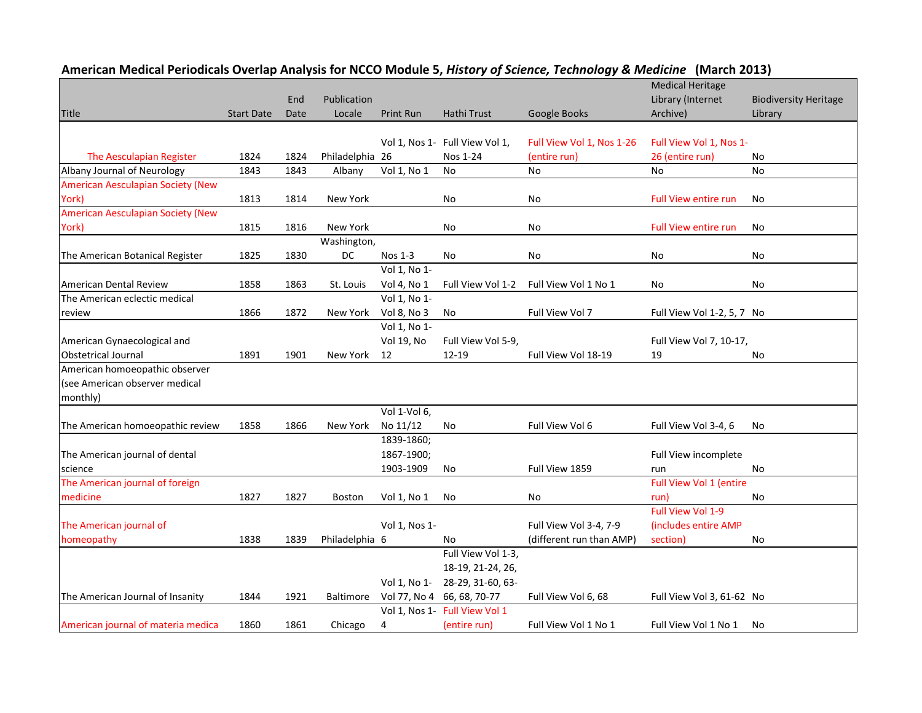|                                          |                   |      |                  |               |                                |                           | <b>Medical Heritage</b>     |                              |
|------------------------------------------|-------------------|------|------------------|---------------|--------------------------------|---------------------------|-----------------------------|------------------------------|
|                                          |                   | End  | Publication      |               |                                |                           | Library (Internet           | <b>Biodiversity Heritage</b> |
| <b>Title</b>                             | <b>Start Date</b> | Date | Locale           | Print Run     | Hathi Trust                    | Google Books              | Archive)                    | Library                      |
|                                          |                   |      |                  |               |                                |                           |                             |                              |
|                                          |                   |      |                  |               | Vol 1, Nos 1- Full View Vol 1, | Full View Vol 1, Nos 1-26 | Full View Vol 1, Nos 1-     |                              |
| The Aesculapian Register                 | 1824              | 1824 | Philadelphia 26  |               | Nos 1-24                       | (entire run)              | 26 (entire run)             | No                           |
| Albany Journal of Neurology              | 1843              | 1843 | Albany           | Vol 1, No 1   | No                             | No                        | No                          | No                           |
| <b>American Aesculapian Society (New</b> |                   |      |                  |               |                                |                           |                             |                              |
| York)                                    | 1813              | 1814 | New York         |               | No                             | No                        | <b>Full View entire run</b> | No                           |
| <b>American Aesculapian Society (New</b> |                   |      |                  |               |                                |                           |                             |                              |
| York)                                    | 1815              | 1816 | New York         |               | No                             | No                        | <b>Full View entire run</b> | No                           |
|                                          |                   |      | Washington,      |               |                                |                           |                             |                              |
| The American Botanical Register          | 1825              | 1830 | DC               | Nos 1-3       | No                             | No                        | <b>No</b>                   | No                           |
|                                          |                   |      |                  | Vol 1, No 1-  |                                |                           |                             |                              |
| American Dental Review                   | 1858              | 1863 | St. Louis        | Vol 4, No 1   | Full View Vol 1-2              | Full View Vol 1 No 1      | No                          | No                           |
| The American eclectic medical            |                   |      |                  | Vol 1, No 1-  |                                |                           |                             |                              |
| review                                   | 1866              | 1872 | New York         | Vol 8, No 3   | No                             | Full View Vol 7           | Full View Vol 1-2, 5, 7 No  |                              |
|                                          |                   |      |                  | Vol 1, No 1-  |                                |                           |                             |                              |
| American Gynaecological and              |                   |      |                  | Vol 19, No    | Full View Vol 5-9,             |                           | Full View Vol 7, 10-17,     |                              |
| <b>Obstetrical Journal</b>               | 1891              | 1901 | New York 12      |               | $12 - 19$                      | Full View Vol 18-19       | 19                          | No                           |
| American homoeopathic observer           |                   |      |                  |               |                                |                           |                             |                              |
| (see American observer medical           |                   |      |                  |               |                                |                           |                             |                              |
| monthly)                                 |                   |      |                  |               |                                |                           |                             |                              |
|                                          |                   |      |                  | Vol 1-Vol 6,  |                                |                           |                             |                              |
| The American homoeopathic review         | 1858              | 1866 | New York         | No 11/12      | No                             | Full View Vol 6           | Full View Vol 3-4, 6        | No                           |
|                                          |                   |      |                  | 1839-1860;    |                                |                           |                             |                              |
| The American journal of dental           |                   |      |                  | 1867-1900;    |                                |                           | Full View incomplete        |                              |
| science                                  |                   |      |                  | 1903-1909     | No                             | Full View 1859            | run                         | <b>No</b>                    |
| The American journal of foreign          |                   |      |                  |               |                                |                           | Full View Vol 1 (entire     |                              |
| medicine                                 | 1827              | 1827 | Boston           | Vol 1, No 1   | No                             | No                        | run)                        | No                           |
|                                          |                   |      |                  |               |                                |                           | Full View Vol 1-9           |                              |
| The American journal of                  |                   |      |                  | Vol 1, Nos 1- |                                | Full View Vol 3-4, 7-9    | (includes entire AMP        |                              |
| homeopathy                               | 1838              | 1839 | Philadelphia 6   |               | No                             | (different run than AMP)  | section)                    | No                           |
|                                          |                   |      |                  |               | Full View Vol 1-3,             |                           |                             |                              |
|                                          |                   |      |                  |               | 18-19, 21-24, 26,              |                           |                             |                              |
|                                          |                   |      |                  | Vol 1, No 1-  | 28-29, 31-60, 63-              |                           |                             |                              |
| The American Journal of Insanity         | 1844              | 1921 | <b>Baltimore</b> |               | Vol 77, No 4 66, 68, 70-77     | Full View Vol 6, 68       | Full View Vol 3, 61-62 No   |                              |
|                                          |                   |      |                  |               | Vol 1, Nos 1- Full View Vol 1  |                           |                             |                              |
| American journal of materia medica       | 1860              | 1861 | Chicago          | 4             | (entire run)                   | Full View Vol 1 No 1      | Full View Vol 1 No 1        | No                           |

## **American Medical Periodicals Overlap Analysis for NCCO Module 5,** *History of Science, Technology & Medicine* **(March 2013)**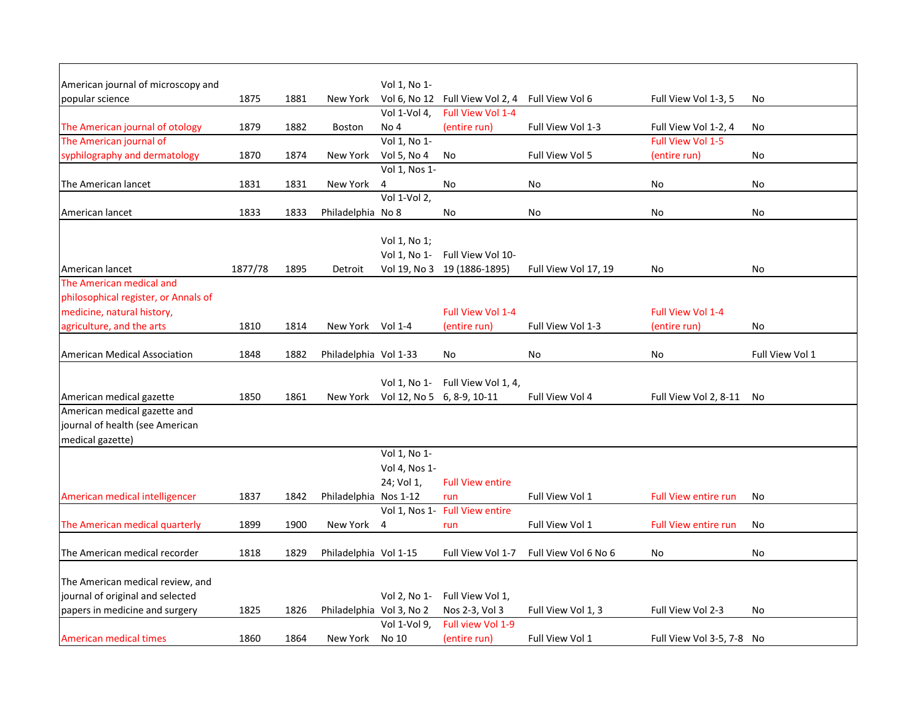| American journal of microscopy and   |         |      |                          | Vol 1, No 1-                        |                                 |                      |                             |                 |
|--------------------------------------|---------|------|--------------------------|-------------------------------------|---------------------------------|----------------------|-----------------------------|-----------------|
| popular science                      | 1875    | 1881 | New York                 |                                     | Vol 6, No 12 Full View Vol 2, 4 | Full View Vol 6      | Full View Vol 1-3, 5        | No              |
|                                      |         |      |                          | Vol 1-Vol 4,                        | Full View Vol 1-4               |                      |                             |                 |
| The American journal of otology      | 1879    | 1882 | <b>Boston</b>            | No 4                                | (entire run)                    | Full View Vol 1-3    | Full View Vol 1-2, 4        | No              |
| The American journal of              |         |      |                          | Vol 1, No 1-                        |                                 |                      | Full View Vol 1-5           |                 |
| syphilography and dermatology        | 1870    | 1874 | New York                 | Vol 5, No 4<br>Vol 1, Nos 1-        | No                              | Full View Vol 5      | (entire run)                | No              |
| The American lancet                  | 1831    | 1831 | New York                 | 4                                   | No                              | No                   | No                          | No              |
|                                      |         |      |                          | Vol 1-Vol 2,                        |                                 |                      |                             |                 |
| American lancet                      | 1833    | 1833 | Philadelphia No 8        |                                     | No                              | No                   | No                          | No              |
|                                      |         |      |                          |                                     |                                 |                      |                             |                 |
|                                      |         |      |                          | Vol 1, No 1;                        |                                 |                      |                             |                 |
|                                      |         |      |                          | Vol 1, No 1-                        | Full View Vol 10-               |                      |                             |                 |
| American lancet                      | 1877/78 | 1895 | Detroit                  |                                     | Vol 19, No 3 19 (1886-1895)     | Full View Vol 17, 19 | No                          | No              |
| The American medical and             |         |      |                          |                                     |                                 |                      |                             |                 |
| philosophical register, or Annals of |         |      |                          |                                     |                                 |                      |                             |                 |
| medicine, natural history,           |         |      |                          |                                     | Full View Vol 1-4               |                      | Full View Vol 1-4           |                 |
| agriculture, and the arts            | 1810    | 1814 | New York Vol 1-4         |                                     | (entire run)                    | Full View Vol 1-3    | (entire run)                | No              |
|                                      |         |      |                          |                                     |                                 |                      |                             |                 |
| <b>American Medical Association</b>  | 1848    | 1882 | Philadelphia Vol 1-33    |                                     | No                              | No                   | No                          | Full View Vol 1 |
|                                      |         |      |                          |                                     |                                 |                      |                             |                 |
|                                      |         |      |                          | Vol 1, No 1-                        | Full View Vol 1, 4,             |                      |                             |                 |
| American medical gazette             | 1850    | 1861 |                          | New York Vol 12, No 5 6, 8-9, 10-11 |                                 | Full View Vol 4      | Full View Vol 2, 8-11       | No              |
| American medical gazette and         |         |      |                          |                                     |                                 |                      |                             |                 |
| journal of health (see American      |         |      |                          |                                     |                                 |                      |                             |                 |
| medical gazette)                     |         |      |                          |                                     |                                 |                      |                             |                 |
|                                      |         |      |                          | Vol 1, No 1-                        |                                 |                      |                             |                 |
|                                      |         |      |                          | Vol 4, Nos 1-                       |                                 |                      |                             |                 |
|                                      |         |      |                          | 24; Vol 1,                          | <b>Full View entire</b>         |                      |                             |                 |
| American medical intelligencer       | 1837    | 1842 | Philadelphia Nos 1-12    |                                     | run                             | Full View Vol 1      | <b>Full View entire run</b> | <b>No</b>       |
|                                      |         |      |                          |                                     | Vol 1, Nos 1- Full View entire  |                      |                             |                 |
| The American medical quarterly       | 1899    | 1900 | New York                 | 4                                   | run                             | Full View Vol 1      | <b>Full View entire run</b> | No              |
|                                      |         |      |                          |                                     |                                 |                      |                             |                 |
| The American medical recorder        | 1818    | 1829 | Philadelphia Vol 1-15    |                                     | Full View Vol 1-7               | Full View Vol 6 No 6 | No.                         | <b>No</b>       |
|                                      |         |      |                          |                                     |                                 |                      |                             |                 |
| The American medical review, and     |         |      |                          |                                     |                                 |                      |                             |                 |
| journal of original and selected     |         |      |                          | Vol 2, No 1-                        | Full View Vol 1,                |                      |                             |                 |
| papers in medicine and surgery       | 1825    | 1826 | Philadelphia Vol 3, No 2 |                                     | Nos 2-3, Vol 3                  | Full View Vol 1, 3   | Full View Vol 2-3           | No              |
|                                      |         |      |                          | Vol 1-Vol 9,                        | Full view Vol 1-9               |                      |                             |                 |
| American medical times               | 1860    | 1864 | New York                 | No 10                               | (entire run)                    | Full View Vol 1      | Full View Vol 3-5, 7-8 No   |                 |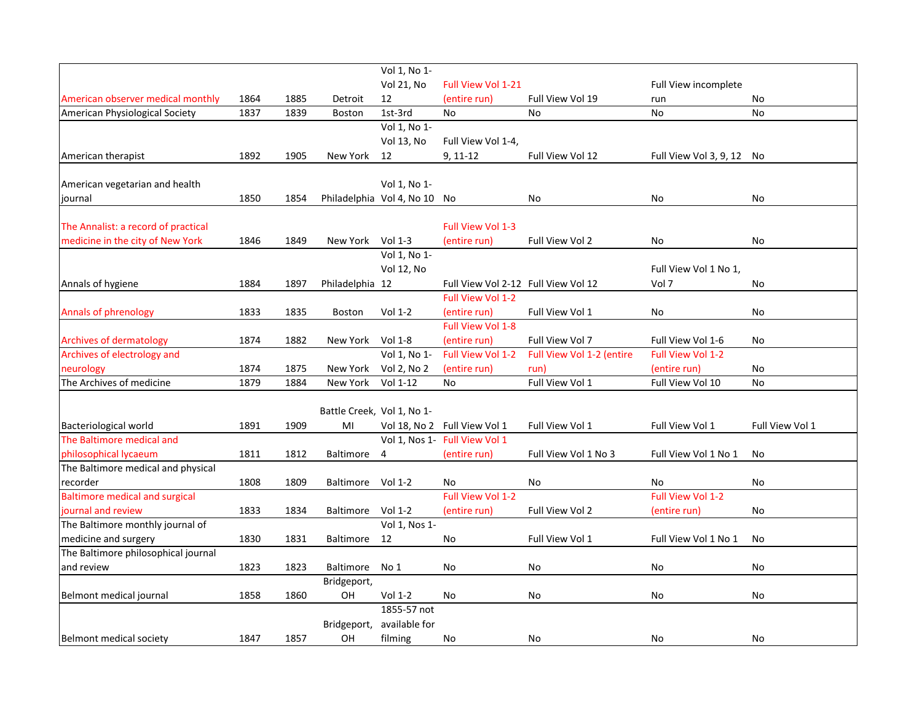|                                       |      |      |                            | Vol 1, No 1-                 |                                     |                           |                           |                 |
|---------------------------------------|------|------|----------------------------|------------------------------|-------------------------------------|---------------------------|---------------------------|-----------------|
|                                       |      |      |                            | <b>Vol 21, No</b>            | Full View Vol 1-21                  |                           | Full View incomplete      |                 |
| American observer medical monthly     | 1864 | 1885 | Detroit                    | 12                           | (entire run)                        | Full View Vol 19          | run                       | No              |
| American Physiological Society        | 1837 | 1839 | <b>Boston</b>              | 1st-3rd                      | No                                  | No                        | No                        | No              |
|                                       |      |      |                            | Vol 1, No 1-                 |                                     |                           |                           |                 |
|                                       |      |      |                            | Vol 13, No                   | Full View Vol 1-4,                  |                           |                           |                 |
| American therapist                    | 1892 | 1905 | New York                   | 12                           | $9, 11-12$                          | Full View Vol 12          | Full View Vol 3, 9, 12 No |                 |
|                                       |      |      |                            |                              |                                     |                           |                           |                 |
| American vegetarian and health        |      |      |                            | Vol 1, No 1-                 |                                     |                           |                           |                 |
| journal                               | 1850 | 1854 |                            | Philadelphia Vol 4, No 10 No |                                     | No                        | No                        | No              |
| The Annalist: a record of practical   |      |      |                            |                              | Full View Vol 1-3                   |                           |                           |                 |
| medicine in the city of New York      | 1846 | 1849 | New York                   | Vol 1-3                      | (entire run)                        | Full View Vol 2           | <b>No</b>                 | No              |
|                                       |      |      |                            | Vol 1, No 1-                 |                                     |                           |                           |                 |
|                                       |      |      |                            | <b>Vol 12, No</b>            |                                     |                           | Full View Vol 1 No 1,     |                 |
| Annals of hygiene                     | 1884 | 1897 | Philadelphia 12            |                              | Full View Vol 2-12 Full View Vol 12 |                           | Vol 7                     | No              |
|                                       |      |      |                            |                              | Full View Vol 1-2                   |                           |                           |                 |
| Annals of phrenology                  | 1833 | 1835 | <b>Boston</b>              | Vol 1-2                      | (entire run)                        | Full View Vol 1           | No                        | No              |
|                                       |      |      |                            |                              | Full View Vol 1-8                   |                           |                           |                 |
| <b>Archives of dermatology</b>        | 1874 | 1882 | New York                   | Vol 1-8                      | (entire run)                        | Full View Vol 7           | Full View Vol 1-6         | No              |
| Archives of electrology and           |      |      |                            | Vol 1, No 1-                 | Full View Vol 1-2                   | Full View Vol 1-2 (entire | Full View Vol 1-2         |                 |
| neurology                             | 1874 | 1875 | New York                   | Vol 2, No 2                  | (entire run)                        | run)                      | (entire run)              | No              |
| The Archives of medicine              | 1879 | 1884 | New York                   | Vol 1-12                     | <b>No</b>                           | Full View Vol 1           | Full View Vol 10          | No              |
|                                       |      |      |                            |                              |                                     |                           |                           |                 |
|                                       |      |      | Battle Creek, Vol 1, No 1- |                              |                                     |                           |                           |                 |
| Bacteriological world                 | 1891 | 1909 | MI                         |                              | Vol 18, No 2 Full View Vol 1        | Full View Vol 1           | Full View Vol 1           | Full View Vol 1 |
| The Baltimore medical and             |      |      |                            |                              | Vol 1, Nos 1- Full View Vol 1       |                           |                           |                 |
| philosophical lycaeum                 | 1811 | 1812 | Baltimore                  | 4                            | (entire run)                        | Full View Vol 1 No 3      | Full View Vol 1 No 1      | No              |
| The Baltimore medical and physical    |      |      |                            |                              |                                     |                           |                           |                 |
| recorder                              | 1808 | 1809 | Baltimore Vol 1-2          |                              | No                                  | No                        | No                        | No              |
| <b>Baltimore medical and surgical</b> |      |      |                            |                              | Full View Vol 1-2                   |                           | Full View Vol 1-2         |                 |
| journal and review                    | 1833 | 1834 | Baltimore                  | Vol 1-2                      | (entire run)                        | Full View Vol 2           | (entire run)              | No              |
| The Baltimore monthly journal of      |      |      |                            | Vol 1, Nos 1-                |                                     |                           |                           |                 |
| medicine and surgery                  | 1830 | 1831 | Baltimore                  | 12                           | No                                  | Full View Vol 1           | Full View Vol 1 No 1      | No              |
| The Baltimore philosophical journal   |      |      |                            |                              |                                     |                           |                           |                 |
| and review                            | 1823 | 1823 | Baltimore                  | No 1                         | No                                  | No                        | No                        | No              |
|                                       |      |      | Bridgeport,                |                              |                                     |                           |                           |                 |
| Belmont medical journal               | 1858 | 1860 | OH                         | Vol 1-2                      | No                                  | No                        | No                        | No              |
|                                       |      |      |                            | 1855-57 not                  |                                     |                           |                           |                 |
|                                       |      |      | Bridgeport,                | available for                |                                     |                           |                           |                 |
| Belmont medical society               | 1847 | 1857 | OH                         | filming                      | No                                  | No                        | No                        | <b>No</b>       |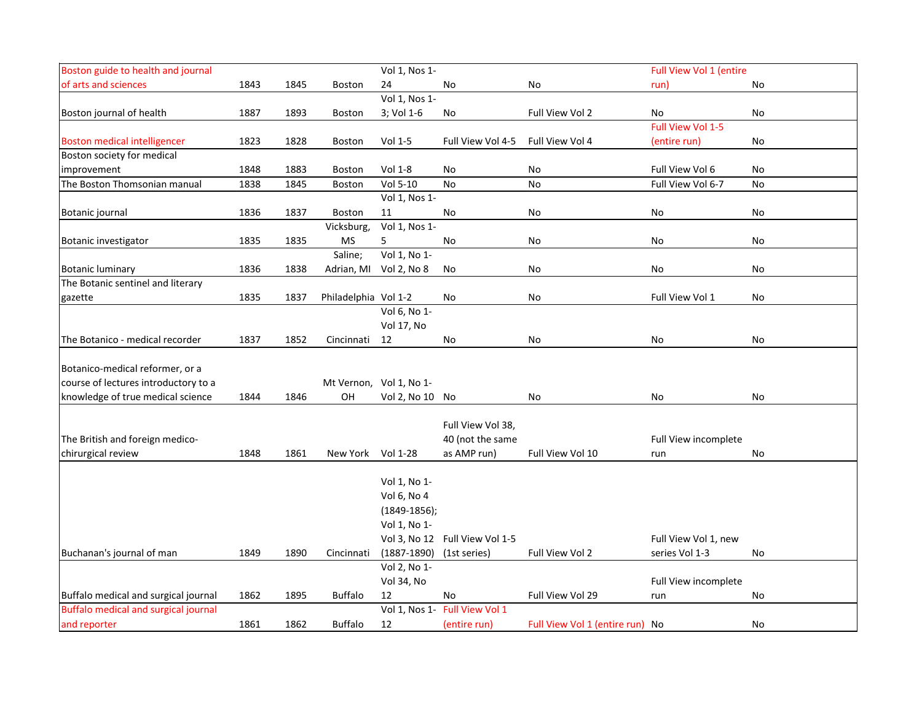| Boston guide to health and journal          |      |      |                      | Vol 1, Nos 1-           |                                |                                 | Full View Vol 1 (entire |    |
|---------------------------------------------|------|------|----------------------|-------------------------|--------------------------------|---------------------------------|-------------------------|----|
| of arts and sciences                        | 1843 | 1845 | Boston               | 24                      | No                             | No                              | run)                    | No |
|                                             |      |      |                      | Vol 1, Nos 1-           |                                |                                 |                         |    |
| Boston journal of health                    | 1887 | 1893 | <b>Boston</b>        | 3; Vol 1-6              | No                             | Full View Vol 2                 | No                      | No |
|                                             |      |      |                      |                         |                                |                                 | Full View Vol 1-5       |    |
| <b>Boston medical intelligencer</b>         | 1823 | 1828 | <b>Boston</b>        | Vol 1-5                 | Full View Vol 4-5              | Full View Vol 4                 | (entire run)            | No |
| Boston society for medical                  |      |      |                      |                         |                                |                                 |                         |    |
| improvement                                 | 1848 | 1883 | <b>Boston</b>        | Vol 1-8                 | No                             | No                              | Full View Vol 6         | No |
| The Boston Thomsonian manual                | 1838 | 1845 | Boston               | Vol 5-10                | No                             | No                              | Full View Vol 6-7       | No |
|                                             |      |      |                      | Vol 1, Nos 1-           |                                |                                 |                         |    |
| Botanic journal                             | 1836 | 1837 | Boston               | 11                      | No                             | No                              | No                      | No |
|                                             |      |      | Vicksburg,           | Vol 1, Nos 1-           |                                |                                 |                         |    |
| Botanic investigator                        | 1835 | 1835 | MS                   | 5                       | No                             | No                              | No                      | No |
|                                             |      |      | Saline;              | Vol 1, No 1-            |                                |                                 |                         |    |
| <b>Botanic luminary</b>                     | 1836 | 1838 |                      | Adrian, MI Vol 2, No 8  | No                             | No                              | No                      | No |
| The Botanic sentinel and literary           |      |      |                      |                         |                                |                                 |                         |    |
| gazette                                     | 1835 | 1837 | Philadelphia Vol 1-2 |                         | No                             | No                              | Full View Vol 1         | No |
|                                             |      |      |                      | Vol 6, No 1-            |                                |                                 |                         |    |
|                                             |      |      |                      | Vol 17, No              |                                |                                 |                         |    |
| The Botanico - medical recorder             | 1837 | 1852 | Cincinnati           | 12                      | No                             | No                              | No                      | No |
|                                             |      |      |                      |                         |                                |                                 |                         |    |
| Botanico-medical reformer, or a             |      |      |                      |                         |                                |                                 |                         |    |
| course of lectures introductory to a        |      |      |                      | Mt Vernon, Vol 1, No 1- |                                |                                 |                         |    |
| knowledge of true medical science           | 1844 | 1846 | OН                   | Vol 2, No 10 No         |                                | No                              | No                      | No |
|                                             |      |      |                      |                         |                                |                                 |                         |    |
|                                             |      |      |                      |                         | Full View Vol 38,              |                                 |                         |    |
| The British and foreign medico-             |      |      |                      |                         | 40 (not the same               |                                 | Full View incomplete    |    |
| chirurgical review                          | 1848 | 1861 | New York Vol 1-28    |                         | as AMP run)                    | Full View Vol 10                | run                     | No |
|                                             |      |      |                      |                         |                                |                                 |                         |    |
|                                             |      |      |                      | Vol 1, No 1-            |                                |                                 |                         |    |
|                                             |      |      |                      | Vol 6, No 4             |                                |                                 |                         |    |
|                                             |      |      |                      | $(1849-1856);$          |                                |                                 |                         |    |
|                                             |      |      |                      | Vol 1, No 1-            |                                |                                 |                         |    |
|                                             |      |      |                      |                         | Vol 3, No 12 Full View Vol 1-5 |                                 | Full View Vol 1, new    |    |
| Buchanan's journal of man                   | 1849 | 1890 | Cincinnati           | $(1887 - 1890)$         | (1st series)                   | Full View Vol 2                 | series Vol 1-3          | No |
|                                             |      |      |                      | Vol 2, No 1-            |                                |                                 |                         |    |
|                                             |      |      |                      | Vol 34, No              |                                |                                 | Full View incomplete    |    |
| Buffalo medical and surgical journal        | 1862 | 1895 | <b>Buffalo</b>       | 12                      | No                             | Full View Vol 29                | run                     | No |
| <b>Buffalo medical and surgical journal</b> |      |      |                      |                         | Vol 1, Nos 1- Full View Vol 1  |                                 |                         |    |
| and reporter                                | 1861 | 1862 | <b>Buffalo</b>       | 12                      | (entire run)                   | Full View Vol 1 (entire run) No |                         | No |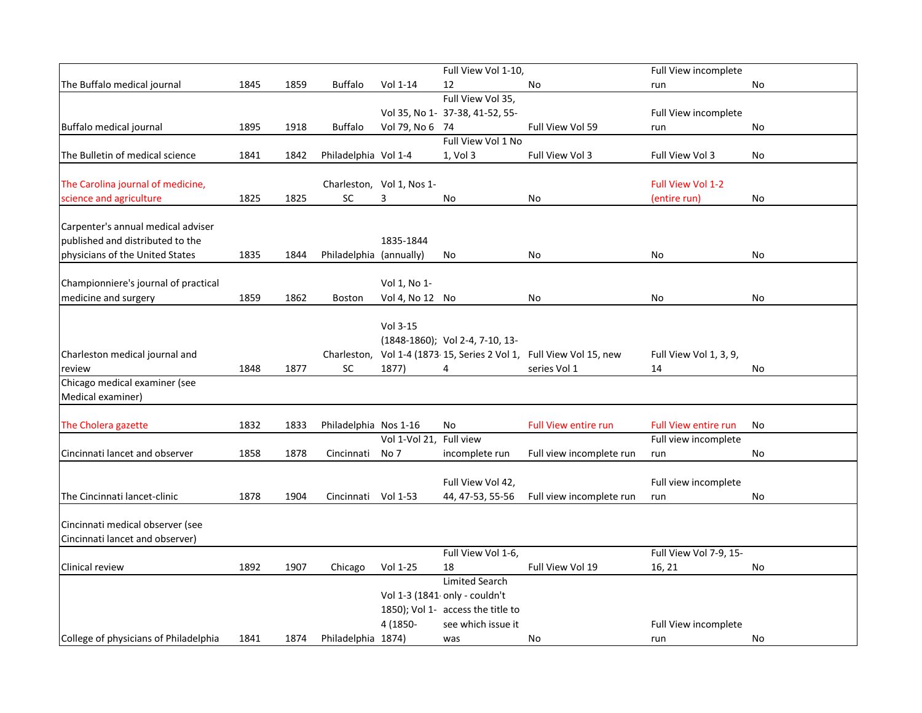|                                       |      |      |                         |                           | Full View Vol 1-10,               |                                                                     | Full View incomplete        |    |
|---------------------------------------|------|------|-------------------------|---------------------------|-----------------------------------|---------------------------------------------------------------------|-----------------------------|----|
| The Buffalo medical journal           | 1845 | 1859 | <b>Buffalo</b>          | Vol 1-14                  | 12                                | No                                                                  | run                         | No |
|                                       |      |      |                         |                           | Full View Vol 35,                 |                                                                     |                             |    |
|                                       |      |      |                         |                           | Vol 35, No 1- 37-38, 41-52, 55-   |                                                                     | Full View incomplete        |    |
| Buffalo medical journal               | 1895 | 1918 | <b>Buffalo</b>          | Vol 79, No 6 74           |                                   | Full View Vol 59                                                    | run                         | No |
|                                       |      |      |                         |                           | Full View Vol 1 No                |                                                                     |                             |    |
| The Bulletin of medical science       | 1841 | 1842 | Philadelphia Vol 1-4    |                           | 1, Vol 3                          | Full View Vol 3                                                     | Full View Vol 3             | No |
|                                       |      |      |                         |                           |                                   |                                                                     |                             |    |
| The Carolina journal of medicine,     |      |      |                         | Charleston, Vol 1, Nos 1- |                                   |                                                                     | Full View Vol 1-2           |    |
| science and agriculture               | 1825 | 1825 | <b>SC</b>               | 3                         | No                                | No                                                                  | (entire run)                | No |
| Carpenter's annual medical adviser    |      |      |                         |                           |                                   |                                                                     |                             |    |
| published and distributed to the      |      |      |                         | 1835-1844                 |                                   |                                                                     |                             |    |
| physicians of the United States       | 1835 | 1844 | Philadelphia (annually) |                           | No                                | No                                                                  | No                          | No |
|                                       |      |      |                         |                           |                                   |                                                                     |                             |    |
| Championniere's journal of practical  |      |      |                         | Vol 1, No 1-              |                                   |                                                                     |                             |    |
| medicine and surgery                  | 1859 | 1862 | Boston                  | Vol 4, No 12 No           |                                   | No                                                                  | No                          | No |
|                                       |      |      |                         |                           |                                   |                                                                     |                             |    |
|                                       |      |      |                         | Vol 3-15                  |                                   |                                                                     |                             |    |
|                                       |      |      |                         |                           | (1848-1860); Vol 2-4, 7-10, 13-   |                                                                     |                             |    |
| Charleston medical journal and        |      |      |                         |                           |                                   | Charleston, Vol 1-4 (1873-15, Series 2 Vol 1, Full View Vol 15, new | Full View Vol 1, 3, 9,      |    |
| review                                | 1848 | 1877 | <b>SC</b>               | 1877)                     | 4                                 | series Vol 1                                                        | 14                          | No |
| Chicago medical examiner (see         |      |      |                         |                           |                                   |                                                                     |                             |    |
| Medical examiner)                     |      |      |                         |                           |                                   |                                                                     |                             |    |
|                                       |      |      |                         |                           |                                   |                                                                     |                             |    |
| The Cholera gazette                   | 1832 | 1833 | Philadelphia Nos 1-16   |                           | No                                | <b>Full View entire run</b>                                         | <b>Full View entire run</b> | No |
|                                       |      |      |                         | Vol 1-Vol 21, Full view   |                                   |                                                                     | Full view incomplete        |    |
| Cincinnati lancet and observer        | 1858 | 1878 | Cincinnati              | No 7                      | incomplete run                    | Full view incomplete run                                            | run                         | No |
|                                       |      |      |                         |                           |                                   |                                                                     |                             |    |
|                                       |      |      |                         |                           | Full View Vol 42,                 |                                                                     | Full view incomplete        |    |
| The Cincinnati lancet-clinic          | 1878 | 1904 | Cincinnati              | Vol 1-53                  | 44, 47-53, 55-56                  | Full view incomplete run                                            | run                         | No |
|                                       |      |      |                         |                           |                                   |                                                                     |                             |    |
| Cincinnati medical observer (see      |      |      |                         |                           |                                   |                                                                     |                             |    |
| Cincinnati lancet and observer)       |      |      |                         |                           |                                   |                                                                     |                             |    |
|                                       |      |      |                         |                           | Full View Vol 1-6,                |                                                                     | Full View Vol 7-9, 15-      |    |
| Clinical review                       | 1892 | 1907 | Chicago                 | Vol 1-25                  | 18                                | Full View Vol 19                                                    | 16, 21                      | No |
|                                       |      |      |                         |                           | <b>Limited Search</b>             |                                                                     |                             |    |
|                                       |      |      |                         |                           | Vol 1-3 (1841 only - couldn't     |                                                                     |                             |    |
|                                       |      |      |                         |                           | 1850); Vol 1- access the title to |                                                                     |                             |    |
|                                       |      |      |                         | 4 (1850-                  | see which issue it                |                                                                     | Full View incomplete        |    |
| College of physicians of Philadelphia | 1841 | 1874 | Philadelphia 1874)      |                           | was                               | No                                                                  | run                         | No |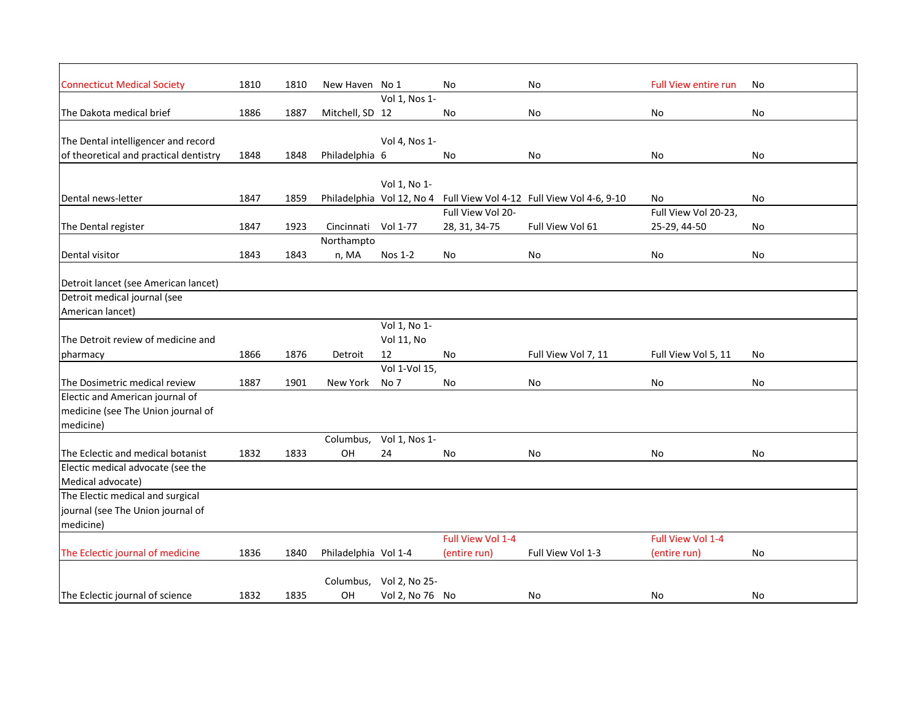| <b>Full View entire run</b><br>1810<br>1810<br>New Haven No 1<br>No<br>No<br>No<br>Vol 1, Nos 1-<br>1886<br>1887<br>Mitchell, SD 12<br>No<br>No<br>No<br>No<br>The Dental intelligencer and record<br>Vol 4, Nos 1-<br>of theoretical and practical dentistry<br>1848<br>1848<br>Philadelphia 6<br>No<br>No<br>No<br>No<br>Vol 1, No 1-<br>1847<br>1859<br>Philadelphia Vol 12, No 4<br>Full View Vol 4-12 Full View Vol 4-6, 9-10<br>No<br>No<br>Full View Vol 20-<br>Full View Vol 20-23,<br>1847<br>1923<br>Full View Vol 61<br>Cincinnati Vol 1-77<br>28, 31, 34-75<br>25-29, 44-50<br>No<br>Northampto<br>1843<br>1843<br>n, MA<br>Nos 1-2<br>No<br>No<br>No<br>No<br>Detroit lancet (see American lancet)<br>Detroit medical journal (see<br>American lancet)<br>Vol 1, No 1-<br>The Detroit review of medicine and<br><b>Vol 11, No</b><br>1866<br>1876<br>Full View Vol 7, 11<br>pharmacy<br>Detroit<br>12<br>No<br>Full View Vol 5, 11<br>No<br>Vol 1-Vol 15, |                                    |      |      |          |      |    |    |    |    |
|------------------------------------------------------------------------------------------------------------------------------------------------------------------------------------------------------------------------------------------------------------------------------------------------------------------------------------------------------------------------------------------------------------------------------------------------------------------------------------------------------------------------------------------------------------------------------------------------------------------------------------------------------------------------------------------------------------------------------------------------------------------------------------------------------------------------------------------------------------------------------------------------------------------------------------------------------------------------|------------------------------------|------|------|----------|------|----|----|----|----|
|                                                                                                                                                                                                                                                                                                                                                                                                                                                                                                                                                                                                                                                                                                                                                                                                                                                                                                                                                                        | <b>Connecticut Medical Society</b> |      |      |          |      |    |    |    |    |
|                                                                                                                                                                                                                                                                                                                                                                                                                                                                                                                                                                                                                                                                                                                                                                                                                                                                                                                                                                        |                                    |      |      |          |      |    |    |    |    |
|                                                                                                                                                                                                                                                                                                                                                                                                                                                                                                                                                                                                                                                                                                                                                                                                                                                                                                                                                                        | The Dakota medical brief           |      |      |          |      |    |    |    |    |
|                                                                                                                                                                                                                                                                                                                                                                                                                                                                                                                                                                                                                                                                                                                                                                                                                                                                                                                                                                        |                                    |      |      |          |      |    |    |    |    |
|                                                                                                                                                                                                                                                                                                                                                                                                                                                                                                                                                                                                                                                                                                                                                                                                                                                                                                                                                                        |                                    |      |      |          |      |    |    |    |    |
|                                                                                                                                                                                                                                                                                                                                                                                                                                                                                                                                                                                                                                                                                                                                                                                                                                                                                                                                                                        |                                    |      |      |          |      |    |    |    |    |
|                                                                                                                                                                                                                                                                                                                                                                                                                                                                                                                                                                                                                                                                                                                                                                                                                                                                                                                                                                        |                                    |      |      |          |      |    |    |    |    |
|                                                                                                                                                                                                                                                                                                                                                                                                                                                                                                                                                                                                                                                                                                                                                                                                                                                                                                                                                                        | Dental news-letter                 |      |      |          |      |    |    |    |    |
|                                                                                                                                                                                                                                                                                                                                                                                                                                                                                                                                                                                                                                                                                                                                                                                                                                                                                                                                                                        |                                    |      |      |          |      |    |    |    |    |
|                                                                                                                                                                                                                                                                                                                                                                                                                                                                                                                                                                                                                                                                                                                                                                                                                                                                                                                                                                        | The Dental register                |      |      |          |      |    |    |    |    |
|                                                                                                                                                                                                                                                                                                                                                                                                                                                                                                                                                                                                                                                                                                                                                                                                                                                                                                                                                                        |                                    |      |      |          |      |    |    |    |    |
|                                                                                                                                                                                                                                                                                                                                                                                                                                                                                                                                                                                                                                                                                                                                                                                                                                                                                                                                                                        | Dental visitor                     |      |      |          |      |    |    |    |    |
|                                                                                                                                                                                                                                                                                                                                                                                                                                                                                                                                                                                                                                                                                                                                                                                                                                                                                                                                                                        |                                    |      |      |          |      |    |    |    |    |
|                                                                                                                                                                                                                                                                                                                                                                                                                                                                                                                                                                                                                                                                                                                                                                                                                                                                                                                                                                        |                                    |      |      |          |      |    |    |    |    |
|                                                                                                                                                                                                                                                                                                                                                                                                                                                                                                                                                                                                                                                                                                                                                                                                                                                                                                                                                                        |                                    |      |      |          |      |    |    |    |    |
|                                                                                                                                                                                                                                                                                                                                                                                                                                                                                                                                                                                                                                                                                                                                                                                                                                                                                                                                                                        |                                    |      |      |          |      |    |    |    |    |
|                                                                                                                                                                                                                                                                                                                                                                                                                                                                                                                                                                                                                                                                                                                                                                                                                                                                                                                                                                        |                                    |      |      |          |      |    |    |    |    |
|                                                                                                                                                                                                                                                                                                                                                                                                                                                                                                                                                                                                                                                                                                                                                                                                                                                                                                                                                                        |                                    |      |      |          |      |    |    |    |    |
|                                                                                                                                                                                                                                                                                                                                                                                                                                                                                                                                                                                                                                                                                                                                                                                                                                                                                                                                                                        |                                    |      |      |          |      |    |    |    |    |
|                                                                                                                                                                                                                                                                                                                                                                                                                                                                                                                                                                                                                                                                                                                                                                                                                                                                                                                                                                        | The Dosimetric medical review      | 1887 | 1901 | New York | No 7 | No | No | No | No |
|                                                                                                                                                                                                                                                                                                                                                                                                                                                                                                                                                                                                                                                                                                                                                                                                                                                                                                                                                                        | Electic and American journal of    |      |      |          |      |    |    |    |    |
|                                                                                                                                                                                                                                                                                                                                                                                                                                                                                                                                                                                                                                                                                                                                                                                                                                                                                                                                                                        | medicine (see The Union journal of |      |      |          |      |    |    |    |    |
|                                                                                                                                                                                                                                                                                                                                                                                                                                                                                                                                                                                                                                                                                                                                                                                                                                                                                                                                                                        | medicine)                          |      |      |          |      |    |    |    |    |
| Columbus,<br>Vol 1, Nos 1-                                                                                                                                                                                                                                                                                                                                                                                                                                                                                                                                                                                                                                                                                                                                                                                                                                                                                                                                             |                                    |      |      |          |      |    |    |    |    |
| OH<br>1832<br>1833<br>24<br>No<br>No<br>No<br>No                                                                                                                                                                                                                                                                                                                                                                                                                                                                                                                                                                                                                                                                                                                                                                                                                                                                                                                       | The Eclectic and medical botanist  |      |      |          |      |    |    |    |    |
|                                                                                                                                                                                                                                                                                                                                                                                                                                                                                                                                                                                                                                                                                                                                                                                                                                                                                                                                                                        | Electic medical advocate (see the  |      |      |          |      |    |    |    |    |
|                                                                                                                                                                                                                                                                                                                                                                                                                                                                                                                                                                                                                                                                                                                                                                                                                                                                                                                                                                        | Medical advocate)                  |      |      |          |      |    |    |    |    |
|                                                                                                                                                                                                                                                                                                                                                                                                                                                                                                                                                                                                                                                                                                                                                                                                                                                                                                                                                                        | The Electic medical and surgical   |      |      |          |      |    |    |    |    |
|                                                                                                                                                                                                                                                                                                                                                                                                                                                                                                                                                                                                                                                                                                                                                                                                                                                                                                                                                                        | journal (see The Union journal of  |      |      |          |      |    |    |    |    |
|                                                                                                                                                                                                                                                                                                                                                                                                                                                                                                                                                                                                                                                                                                                                                                                                                                                                                                                                                                        | medicine)                          |      |      |          |      |    |    |    |    |
| Full View Vol 1-4<br>Full View Vol 1-4                                                                                                                                                                                                                                                                                                                                                                                                                                                                                                                                                                                                                                                                                                                                                                                                                                                                                                                                 |                                    |      |      |          |      |    |    |    |    |
| 1836<br>1840<br>Philadelphia Vol 1-4<br>Full View Vol 1-3<br>(entire run)<br>(entire run)<br>No                                                                                                                                                                                                                                                                                                                                                                                                                                                                                                                                                                                                                                                                                                                                                                                                                                                                        | The Eclectic journal of medicine   |      |      |          |      |    |    |    |    |
| Vol 2, No 25-<br>Columbus,                                                                                                                                                                                                                                                                                                                                                                                                                                                                                                                                                                                                                                                                                                                                                                                                                                                                                                                                             |                                    |      |      |          |      |    |    |    |    |
| 1832<br><b>OH</b><br>Vol 2, No 76 No<br>1835<br>No<br>No<br>No.                                                                                                                                                                                                                                                                                                                                                                                                                                                                                                                                                                                                                                                                                                                                                                                                                                                                                                        | The Eclectic journal of science    |      |      |          |      |    |    |    |    |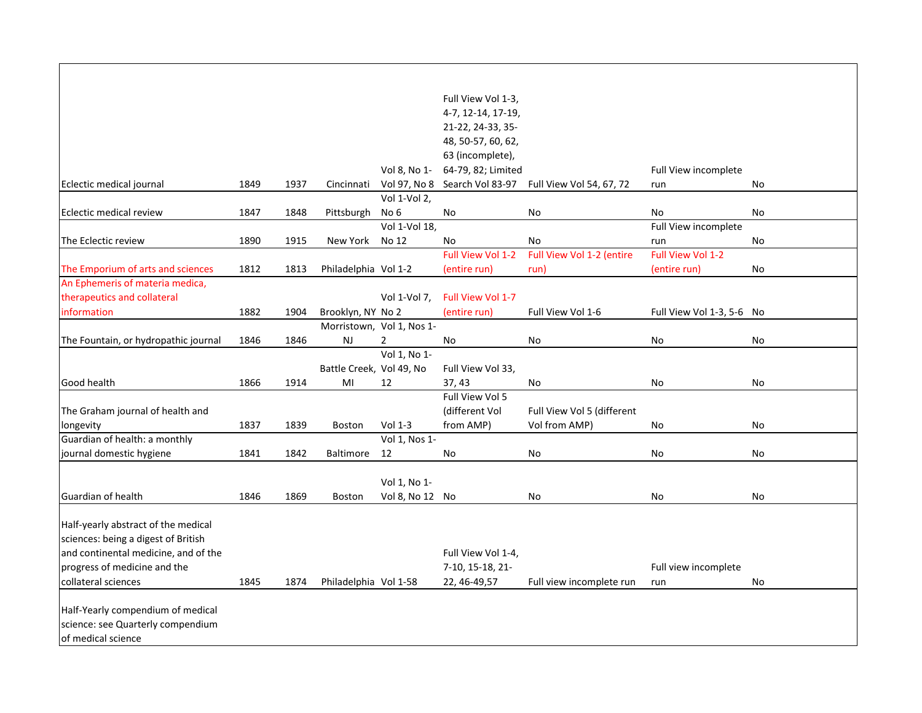|                                      |      |      |                          |                           | Full View Vol 1-3, |                            |                           |    |
|--------------------------------------|------|------|--------------------------|---------------------------|--------------------|----------------------------|---------------------------|----|
|                                      |      |      |                          |                           | 4-7, 12-14, 17-19, |                            |                           |    |
|                                      |      |      |                          |                           | 21-22, 24-33, 35-  |                            |                           |    |
|                                      |      |      |                          |                           | 48, 50-57, 60, 62, |                            |                           |    |
|                                      |      |      |                          |                           | 63 (incomplete),   |                            |                           |    |
|                                      |      |      |                          | Vol 8, No 1-              | 64-79, 82; Limited |                            | Full View incomplete      |    |
| Eclectic medical journal             | 1849 | 1937 | Cincinnati               | Vol 97, No 8              | Search Vol 83-97   | Full View Vol 54, 67, 72   | run                       | No |
|                                      |      |      |                          | Vol 1-Vol 2,              |                    |                            |                           |    |
| Eclectic medical review              | 1847 | 1848 | Pittsburgh               | No <sub>6</sub>           | No                 | No                         | No                        | No |
|                                      |      |      |                          | Vol 1-Vol 18,             |                    |                            | Full View incomplete      |    |
| The Eclectic review                  | 1890 | 1915 | New York                 | No 12                     | No                 | No                         | run                       | No |
|                                      |      |      |                          |                           | Full View Vol 1-2  | Full View Vol 1-2 (entire  | Full View Vol 1-2         |    |
| The Emporium of arts and sciences    | 1812 | 1813 | Philadelphia Vol 1-2     |                           | (entire run)       | run)                       | (entire run)              | No |
| An Ephemeris of materia medica,      |      |      |                          |                           |                    |                            |                           |    |
| therapeutics and collateral          |      |      |                          | Vol 1-Vol 7,              | Full View Vol 1-7  |                            |                           |    |
| information                          | 1882 | 1904 | Brooklyn, NY No 2        |                           | (entire run)       | Full View Vol 1-6          | Full View Vol 1-3, 5-6 No |    |
|                                      |      |      |                          | Morristown, Vol 1, Nos 1- |                    |                            |                           |    |
| The Fountain, or hydropathic journal | 1846 | 1846 | NJ                       | $\overline{2}$            | No                 | No                         | No                        | No |
|                                      |      |      |                          | Vol 1, No 1-              |                    |                            |                           |    |
|                                      |      |      | Battle Creek, Vol 49, No |                           | Full View Vol 33,  |                            |                           |    |
| Good health                          | 1866 | 1914 | MI                       | 12                        | 37,43              | No                         | No                        | No |
|                                      |      |      |                          |                           | Full View Vol 5    |                            |                           |    |
| The Graham journal of health and     |      |      |                          |                           | (different Vol     | Full View Vol 5 (different |                           |    |
| longevity                            | 1837 | 1839 | Boston                   | Vol 1-3                   | from AMP)          | Vol from AMP)              | No                        | No |
| Guardian of health: a monthly        |      |      |                          | Vol 1, Nos 1-             |                    |                            |                           |    |
| journal domestic hygiene             | 1841 | 1842 | <b>Baltimore</b>         | 12                        | No                 | No                         | No                        | No |
|                                      |      |      |                          |                           |                    |                            |                           |    |
|                                      |      |      |                          | Vol 1, No 1-              |                    |                            |                           |    |
| Guardian of health                   | 1846 | 1869 | Boston                   | Vol 8, No 12 No           |                    | No                         | No                        | No |
|                                      |      |      |                          |                           |                    |                            |                           |    |
| Half-yearly abstract of the medical  |      |      |                          |                           |                    |                            |                           |    |
| sciences: being a digest of British  |      |      |                          |                           |                    |                            |                           |    |
| and continental medicine, and of the |      |      |                          |                           | Full View Vol 1-4, |                            |                           |    |
| progress of medicine and the         |      |      |                          |                           | 7-10, 15-18, 21-   |                            | Full view incomplete      |    |
| collateral sciences                  | 1845 | 1874 | Philadelphia Vol 1-58    |                           | 22, 46-49, 57      | Full view incomplete run   | run                       | No |
|                                      |      |      |                          |                           |                    |                            |                           |    |
| Half-Yearly compendium of medical    |      |      |                          |                           |                    |                            |                           |    |
| science: see Quarterly compendium    |      |      |                          |                           |                    |                            |                           |    |
| of medical science                   |      |      |                          |                           |                    |                            |                           |    |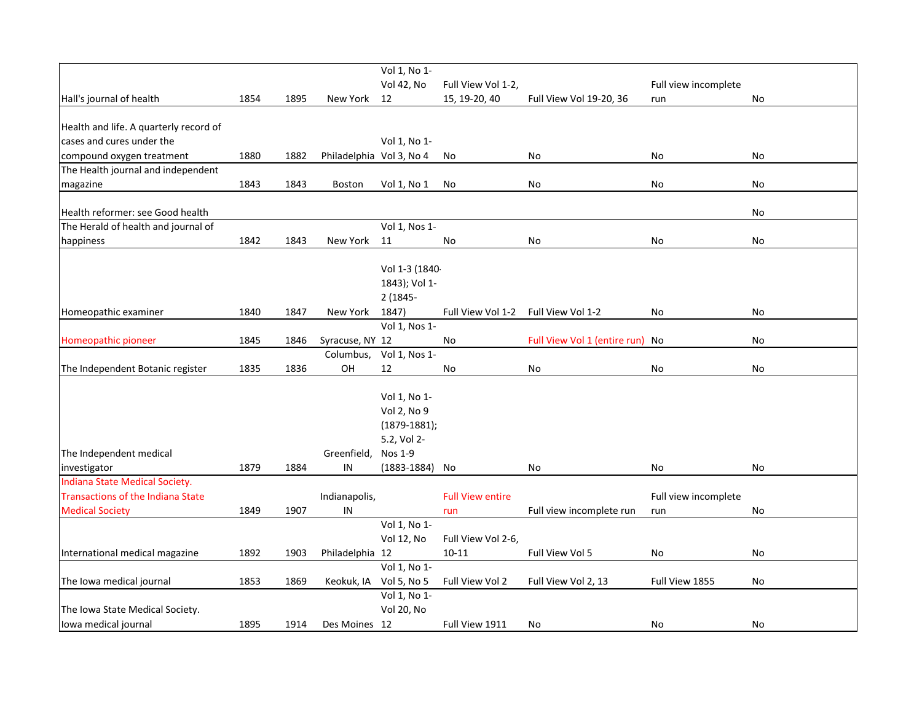|                                          |      |      |                          | Vol 1, No 1-           |                         |                                 |                      |    |
|------------------------------------------|------|------|--------------------------|------------------------|-------------------------|---------------------------------|----------------------|----|
|                                          |      |      |                          | Vol 42, No             | Full View Vol 1-2,      |                                 | Full view incomplete |    |
| Hall's journal of health                 | 1854 | 1895 | New York                 | 12                     | 15, 19-20, 40           | Full View Vol 19-20, 36         | run                  | No |
|                                          |      |      |                          |                        |                         |                                 |                      |    |
| Health and life. A quarterly record of   |      |      |                          |                        |                         |                                 |                      |    |
| cases and cures under the                |      |      |                          | Vol 1, No 1-           |                         |                                 |                      |    |
| compound oxygen treatment                | 1880 | 1882 | Philadelphia Vol 3, No 4 |                        | No                      | No                              | No                   | No |
| The Health journal and independent       |      |      |                          |                        |                         |                                 |                      |    |
| magazine                                 | 1843 | 1843 | <b>Boston</b>            | Vol 1, No 1            | No                      | No                              | No                   | No |
| Health reformer: see Good health         |      |      |                          |                        |                         |                                 |                      | No |
| The Herald of health and journal of      |      |      |                          | Vol 1, Nos 1-          |                         |                                 |                      |    |
| happiness                                | 1842 | 1843 | New York                 | 11                     | No                      | No                              | No                   | No |
|                                          |      |      |                          |                        |                         |                                 |                      |    |
|                                          |      |      |                          | Vol 1-3 (1840-         |                         |                                 |                      |    |
|                                          |      |      |                          | 1843); Vol 1-          |                         |                                 |                      |    |
|                                          |      |      |                          | 2 (1845-               |                         |                                 |                      |    |
| Homeopathic examiner                     | 1840 | 1847 | New York                 | 1847)                  | Full View Vol 1-2       | Full View Vol 1-2               | No                   | No |
|                                          |      |      |                          | Vol 1, Nos 1-          |                         |                                 |                      |    |
| Homeopathic pioneer                      | 1845 | 1846 | Syracuse, NY 12          |                        | No                      | Full View Vol 1 (entire run) No |                      | No |
|                                          |      |      | Columbus,                | Vol 1, Nos 1-          |                         |                                 |                      |    |
| The Independent Botanic register         | 1835 | 1836 | OH                       | 12                     | No                      | No                              | No                   | No |
|                                          |      |      |                          |                        |                         |                                 |                      |    |
|                                          |      |      |                          | Vol 1, No 1-           |                         |                                 |                      |    |
|                                          |      |      |                          | Vol 2, No 9            |                         |                                 |                      |    |
|                                          |      |      |                          | $(1879-1881);$         |                         |                                 |                      |    |
|                                          |      |      |                          | 5.2, Vol 2-            |                         |                                 |                      |    |
| The Independent medical                  |      |      | Greenfield,              | Nos 1-9                |                         |                                 |                      |    |
| investigator                             | 1879 | 1884 | IN                       | $(1883 - 1884)$        | No                      | No                              | No                   | No |
| Indiana State Medical Society.           |      |      |                          |                        |                         |                                 |                      |    |
| <b>Transactions of the Indiana State</b> |      |      | Indianapolis,            |                        | <b>Full View entire</b> |                                 | Full view incomplete |    |
| <b>Medical Society</b>                   | 1849 | 1907 | IN                       |                        | run                     | Full view incomplete run        | run                  | No |
|                                          |      |      |                          | Vol 1, No 1-           |                         |                                 |                      |    |
|                                          |      |      |                          | <b>Vol 12, No</b>      | Full View Vol 2-6,      |                                 |                      |    |
| International medical magazine           | 1892 | 1903 | Philadelphia 12          |                        | $10 - 11$               | Full View Vol 5                 | No                   | No |
|                                          |      |      |                          | Vol 1, No 1-           |                         |                                 |                      |    |
| The Iowa medical journal                 | 1853 | 1869 |                          | Keokuk, IA Vol 5, No 5 | Full View Vol 2         | Full View Vol 2, 13             | Full View 1855       | No |
|                                          |      |      |                          | Vol 1, No 1-           |                         |                                 |                      |    |
| The Iowa State Medical Society.          |      |      |                          | <b>Vol 20, No</b>      |                         |                                 |                      |    |
| lowa medical journal                     | 1895 | 1914 | Des Moines 12            |                        | Full View 1911          | No                              | No                   | No |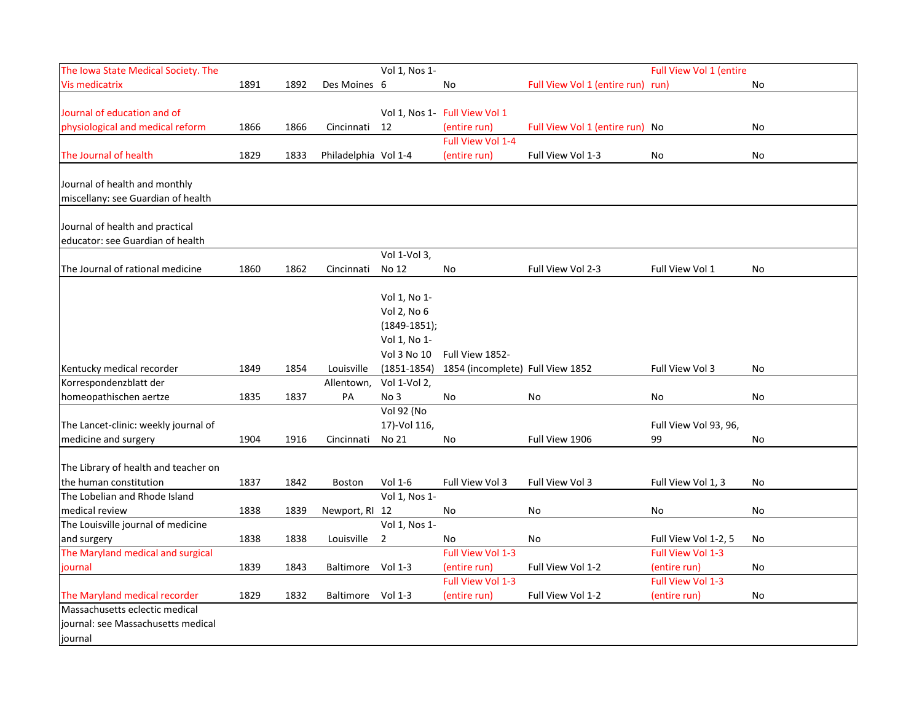| The Iowa State Medical Society. The  |      |      |                      | Vol 1, Nos 1-   |                                  |                                   | Full View Vol 1 (entire |    |
|--------------------------------------|------|------|----------------------|-----------------|----------------------------------|-----------------------------------|-------------------------|----|
| <b>Vis medicatrix</b>                | 1891 | 1892 | Des Moines 6         |                 | No                               | Full View Vol 1 (entire run) run) |                         | No |
|                                      |      |      |                      |                 |                                  |                                   |                         |    |
| Journal of education and of          |      |      |                      |                 | Vol 1, Nos 1- Full View Vol 1    |                                   |                         |    |
| physiological and medical reform     | 1866 | 1866 | Cincinnati           | 12              | (entire run)                     | Full View Vol 1 (entire run) No   |                         | No |
|                                      |      |      |                      |                 | Full View Vol 1-4                |                                   |                         |    |
| The Journal of health                | 1829 | 1833 | Philadelphia Vol 1-4 |                 | (entire run)                     | Full View Vol 1-3                 | No                      | No |
|                                      |      |      |                      |                 |                                  |                                   |                         |    |
| Journal of health and monthly        |      |      |                      |                 |                                  |                                   |                         |    |
| miscellany: see Guardian of health   |      |      |                      |                 |                                  |                                   |                         |    |
| Journal of health and practical      |      |      |                      |                 |                                  |                                   |                         |    |
| educator: see Guardian of health     |      |      |                      |                 |                                  |                                   |                         |    |
|                                      |      |      |                      | Vol 1-Vol 3,    |                                  |                                   |                         |    |
| The Journal of rational medicine     | 1860 | 1862 | Cincinnati           | No 12           | No                               | Full View Vol 2-3                 | Full View Vol 1         | No |
|                                      |      |      |                      |                 |                                  |                                   |                         |    |
|                                      |      |      |                      | Vol 1, No 1-    |                                  |                                   |                         |    |
|                                      |      |      |                      | Vol 2, No 6     |                                  |                                   |                         |    |
|                                      |      |      |                      | $(1849-1851);$  |                                  |                                   |                         |    |
|                                      |      |      |                      | Vol 1, No 1-    |                                  |                                   |                         |    |
|                                      |      |      |                      | Vol 3 No 10     | Full View 1852-                  |                                   |                         |    |
| Kentucky medical recorder            | 1849 | 1854 | Louisville           | $(1851 - 1854)$ | 1854 (incomplete) Full View 1852 |                                   | Full View Vol 3         | No |
| Korrespondenzblatt der               |      |      | Allentown,           | Vol 1-Vol 2,    |                                  |                                   |                         |    |
| homeopathischen aertze               | 1835 | 1837 | PA                   | No 3            | No                               | No                                | No                      | No |
|                                      |      |      |                      | Vol 92 (No      |                                  |                                   |                         |    |
| The Lancet-clinic: weekly journal of |      |      |                      | 17)-Vol 116,    |                                  |                                   | Full View Vol 93, 96,   |    |
| medicine and surgery                 | 1904 | 1916 | Cincinnati           | No 21           | No                               | Full View 1906                    | 99                      | No |
|                                      |      |      |                      |                 |                                  |                                   |                         |    |
| The Library of health and teacher on |      |      |                      |                 |                                  |                                   |                         |    |
| the human constitution               | 1837 | 1842 | <b>Boston</b>        | Vol 1-6         | Full View Vol 3                  | Full View Vol 3                   | Full View Vol 1, 3      | No |
| The Lobelian and Rhode Island        |      |      |                      | Vol 1, Nos 1-   |                                  |                                   |                         |    |
| medical review                       | 1838 | 1839 | Newport, RI 12       |                 | No                               | No                                | No                      | No |
| The Louisville journal of medicine   |      |      |                      | Vol 1, Nos 1-   |                                  |                                   |                         |    |
| and surgery                          | 1838 | 1838 | Louisville           | 2               | No                               | No                                | Full View Vol 1-2, 5    | No |
| The Maryland medical and surgical    |      |      |                      |                 | Full View Vol 1-3                |                                   | Full View Vol 1-3       |    |
| journal                              | 1839 | 1843 | Baltimore Vol 1-3    |                 | (entire run)                     | Full View Vol 1-2                 | (entire run)            | No |
|                                      |      |      |                      |                 | Full View Vol 1-3                |                                   | Full View Vol 1-3       |    |
| The Maryland medical recorder        | 1829 | 1832 | Baltimore            | Vol $1-3$       | (entire run)                     | Full View Vol 1-2                 | (entire run)            | No |
| Massachusetts eclectic medical       |      |      |                      |                 |                                  |                                   |                         |    |
| journal: see Massachusetts medical   |      |      |                      |                 |                                  |                                   |                         |    |
| journal                              |      |      |                      |                 |                                  |                                   |                         |    |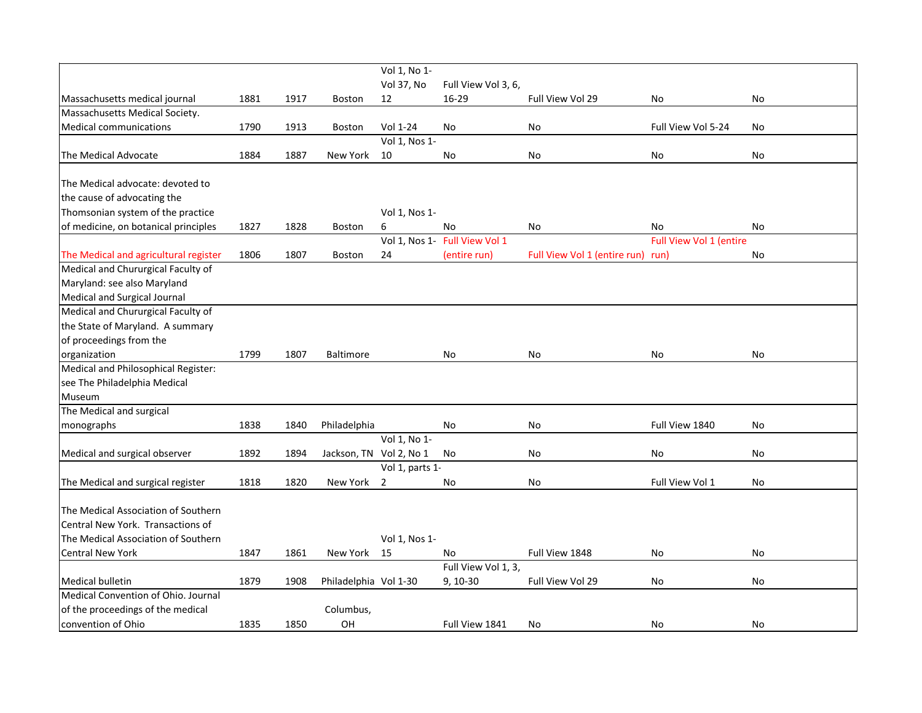|                                       |      |      |                         | Vol 1, No 1-    |                               |                                   |                         |           |
|---------------------------------------|------|------|-------------------------|-----------------|-------------------------------|-----------------------------------|-------------------------|-----------|
|                                       |      |      |                         | Vol 37, No      | Full View Vol 3, 6,           |                                   |                         |           |
| Massachusetts medical journal         | 1881 | 1917 | Boston                  | 12              | 16-29                         | Full View Vol 29                  | No                      | No        |
| Massachusetts Medical Society.        |      |      |                         |                 |                               |                                   |                         |           |
| <b>Medical communications</b>         | 1790 | 1913 | Boston                  | Vol 1-24        | No                            | No                                | Full View Vol 5-24      | <b>No</b> |
|                                       |      |      |                         | Vol 1, Nos 1-   |                               |                                   |                         |           |
| The Medical Advocate                  | 1884 | 1887 | New York                | 10              | No                            | No                                | No                      | No        |
| The Medical advocate: devoted to      |      |      |                         |                 |                               |                                   |                         |           |
| the cause of advocating the           |      |      |                         |                 |                               |                                   |                         |           |
| Thomsonian system of the practice     |      |      |                         | Vol 1, Nos 1-   |                               |                                   |                         |           |
| of medicine, on botanical principles  | 1827 | 1828 | <b>Boston</b>           | 6               | No                            | No                                | No                      | No        |
|                                       |      |      |                         |                 | Vol 1, Nos 1- Full View Vol 1 |                                   | Full View Vol 1 (entire |           |
| The Medical and agricultural register | 1806 | 1807 | <b>Boston</b>           | 24              | (entire run)                  | Full View Vol 1 (entire run) run) |                         | No        |
| Medical and Chururgical Faculty of    |      |      |                         |                 |                               |                                   |                         |           |
| Maryland: see also Maryland           |      |      |                         |                 |                               |                                   |                         |           |
| Medical and Surgical Journal          |      |      |                         |                 |                               |                                   |                         |           |
| Medical and Chururgical Faculty of    |      |      |                         |                 |                               |                                   |                         |           |
| the State of Maryland. A summary      |      |      |                         |                 |                               |                                   |                         |           |
| of proceedings from the               |      |      |                         |                 |                               |                                   |                         |           |
| organization                          | 1799 | 1807 | <b>Baltimore</b>        |                 | No                            | No                                | No                      | No        |
| Medical and Philosophical Register:   |      |      |                         |                 |                               |                                   |                         |           |
| see The Philadelphia Medical          |      |      |                         |                 |                               |                                   |                         |           |
| Museum                                |      |      |                         |                 |                               |                                   |                         |           |
| The Medical and surgical              |      |      |                         |                 |                               |                                   |                         |           |
| monographs                            | 1838 | 1840 | Philadelphia            |                 | No                            | No                                | Full View 1840          | No        |
|                                       |      |      |                         | Vol 1, No 1-    |                               |                                   |                         |           |
| Medical and surgical observer         | 1892 | 1894 | Jackson, TN Vol 2, No 1 |                 | No                            | No                                | No                      | No        |
|                                       |      |      |                         | Vol 1, parts 1- |                               |                                   |                         |           |
| The Medical and surgical register     | 1818 | 1820 | New York                | 2               | No                            | No                                | Full View Vol 1         | No        |
| The Medical Association of Southern   |      |      |                         |                 |                               |                                   |                         |           |
| Central New York. Transactions of     |      |      |                         |                 |                               |                                   |                         |           |
| The Medical Association of Southern   |      |      |                         | Vol 1, Nos 1-   |                               |                                   |                         |           |
| <b>Central New York</b>               | 1847 | 1861 | New York                | 15              | No                            | Full View 1848                    | No                      | No        |
|                                       |      |      |                         |                 | Full View Vol 1, 3,           |                                   |                         |           |
| <b>Medical bulletin</b>               | 1879 | 1908 | Philadelphia Vol 1-30   |                 | $9, 10-30$                    | Full View Vol 29                  | No                      | No        |
| Medical Convention of Ohio. Journal   |      |      |                         |                 |                               |                                   |                         |           |
| of the proceedings of the medical     |      |      | Columbus,               |                 |                               |                                   |                         |           |
| convention of Ohio                    | 1835 | 1850 | OH                      |                 | Full View 1841                | No                                | No                      | <b>No</b> |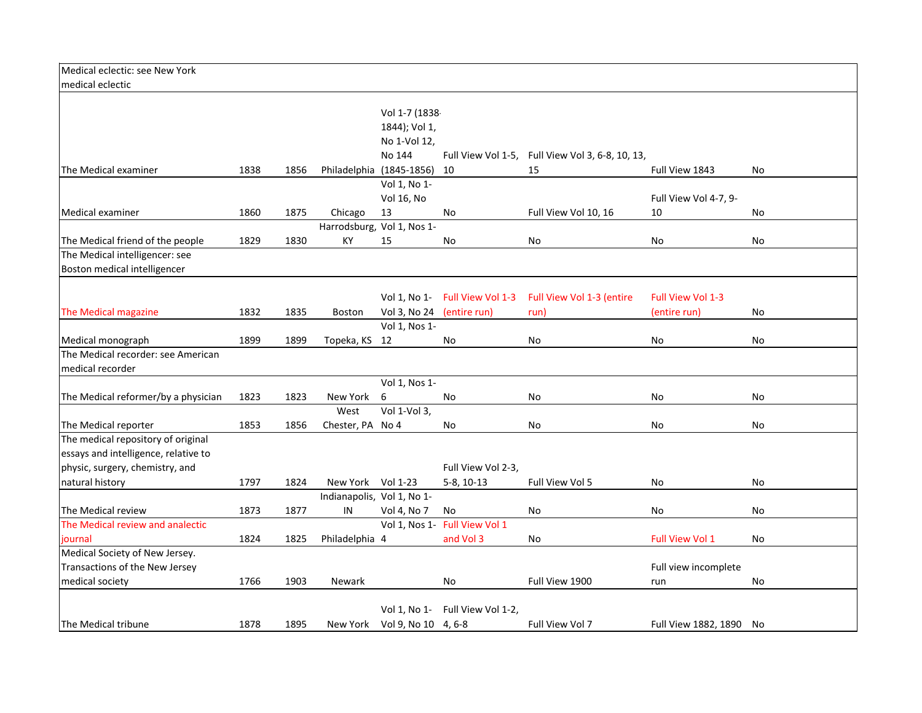| Medical eclectic: see New York       |      |      |                   |                              |                                 |                               |                         |           |
|--------------------------------------|------|------|-------------------|------------------------------|---------------------------------|-------------------------------|-------------------------|-----------|
| medical eclectic                     |      |      |                   |                              |                                 |                               |                         |           |
|                                      |      |      |                   |                              |                                 |                               |                         |           |
|                                      |      |      |                   | Vol 1-7 (1838-               |                                 |                               |                         |           |
|                                      |      |      |                   | 1844); Vol 1,                |                                 |                               |                         |           |
|                                      |      |      |                   | No 1-Vol 12,                 |                                 |                               |                         |           |
|                                      |      |      |                   | No 144                       | Full View Vol 1-5,              | Full View Vol 3, 6-8, 10, 13, |                         |           |
| The Medical examiner                 | 1838 | 1856 |                   | Philadelphia (1845-1856)     | 10                              | 15                            | Full View 1843          | <b>No</b> |
|                                      |      |      |                   | Vol 1, No 1-                 |                                 |                               |                         |           |
|                                      |      |      |                   | Vol 16, No                   |                                 |                               | Full View Vol 4-7, 9-   |           |
| Medical examiner                     | 1860 | 1875 | Chicago           | 13                           | No                              | Full View Vol 10, 16          | 10                      | No        |
|                                      |      |      |                   | Harrodsburg, Vol 1, Nos 1-   |                                 |                               |                         |           |
| The Medical friend of the people     | 1829 | 1830 | КY                | 15                           | No                              | No                            | No                      | No        |
| The Medical intelligencer: see       |      |      |                   |                              |                                 |                               |                         |           |
| Boston medical intelligencer         |      |      |                   |                              |                                 |                               |                         |           |
|                                      |      |      |                   |                              |                                 |                               |                         |           |
|                                      |      |      |                   |                              | Vol 1, No 1 Full View Vol 1-3   | Full View Vol 1-3 (entire     | Full View Vol 1-3       |           |
| The Medical magazine                 | 1832 | 1835 | <b>Boston</b>     | Vol 3, No 24                 | (entire run)                    | run)                          | (entire run)            | No        |
|                                      |      |      |                   | Vol 1, Nos 1-                |                                 |                               |                         |           |
| Medical monograph                    | 1899 | 1899 | Topeka, KS 12     |                              | No                              | No                            | No                      | No        |
| The Medical recorder: see American   |      |      |                   |                              |                                 |                               |                         |           |
| medical recorder                     |      |      |                   |                              |                                 |                               |                         |           |
|                                      |      |      |                   | Vol 1, Nos 1-                |                                 |                               |                         |           |
| The Medical reformer/by a physician  | 1823 | 1823 | New York          | 6                            | No                              | No                            | No                      | No        |
|                                      |      |      | West              | Vol 1-Vol 3,                 |                                 |                               |                         |           |
| The Medical reporter                 | 1853 | 1856 | Chester, PA No 4  |                              | No                              | No                            | No                      | No        |
| The medical repository of original   |      |      |                   |                              |                                 |                               |                         |           |
| essays and intelligence, relative to |      |      |                   |                              |                                 |                               |                         |           |
| physic, surgery, chemistry, and      |      |      |                   |                              | Full View Vol 2-3,              |                               |                         |           |
| natural history                      | 1797 | 1824 | New York Vol 1-23 |                              | $5-8, 10-13$                    | Full View Vol 5               | No                      | No        |
|                                      |      |      |                   | Indianapolis, Vol 1, No 1-   |                                 |                               |                         |           |
| The Medical review                   | 1873 | 1877 | IN                | Vol 4, No 7                  | No                              | No                            | No                      | No        |
| The Medical review and analectic     |      |      |                   |                              | Vol 1, Nos 1- Full View Vol 1   |                               |                         |           |
| journal                              | 1824 | 1825 | Philadelphia 4    |                              | and Vol 3                       | No                            | Full View Vol 1         | No        |
| Medical Society of New Jersey.       |      |      |                   |                              |                                 |                               |                         |           |
| Transactions of the New Jersey       |      |      |                   |                              |                                 |                               | Full view incomplete    |           |
| medical society                      | 1766 | 1903 | Newark            |                              | No                              | Full View 1900                | run                     | No        |
|                                      |      |      |                   |                              |                                 |                               |                         |           |
|                                      |      |      |                   |                              | Vol 1, No 1- Full View Vol 1-2, |                               |                         |           |
| The Medical tribune                  | 1878 | 1895 |                   | New York Vol 9, No 10 4, 6-8 |                                 | Full View Vol 7               | Full View 1882, 1890 No |           |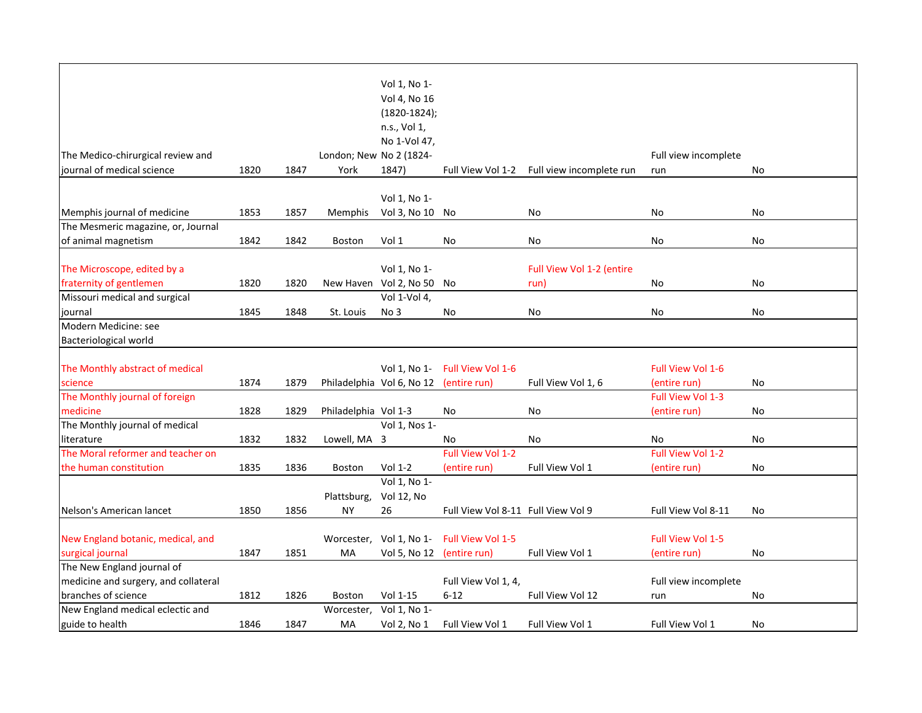|                                      |      |      |                         | Vol 1, No 1-              |                                    |                           |                      |    |
|--------------------------------------|------|------|-------------------------|---------------------------|------------------------------------|---------------------------|----------------------|----|
|                                      |      |      |                         | Vol 4, No 16              |                                    |                           |                      |    |
|                                      |      |      |                         | $(1820-1824);$            |                                    |                           |                      |    |
|                                      |      |      |                         | n.s., Vol 1,              |                                    |                           |                      |    |
|                                      |      |      |                         | No 1-Vol 47,              |                                    |                           |                      |    |
| The Medico-chirurgical review and    |      |      | London; New No 2 (1824- |                           |                                    |                           | Full view incomplete |    |
| journal of medical science           | 1820 | 1847 | York                    | 1847)                     | Full View Vol 1-2                  | Full view incomplete run  | run                  | No |
|                                      |      |      |                         |                           |                                    |                           |                      |    |
|                                      |      |      |                         | Vol 1, No 1-              |                                    |                           |                      |    |
| Memphis journal of medicine          | 1853 | 1857 | Memphis                 | Vol 3, No 10 No           |                                    | No                        | No                   | No |
| The Mesmeric magazine, or, Journal   |      |      |                         |                           |                                    |                           |                      |    |
| of animal magnetism                  | 1842 | 1842 | <b>Boston</b>           | Vol 1                     | No                                 | No                        | No                   | No |
|                                      |      |      |                         |                           |                                    |                           |                      |    |
| The Microscope, edited by a          |      |      |                         | Vol 1, No 1-              |                                    | Full View Vol 1-2 (entire |                      |    |
| fraternity of gentlemen              | 1820 | 1820 |                         | New Haven Vol 2, No 50    | No                                 | run)                      | No                   | No |
| Missouri medical and surgical        |      |      |                         | Vol 1-Vol 4,              |                                    |                           |                      |    |
| journal                              | 1845 | 1848 | St. Louis               | No 3                      | No                                 | No                        | No                   | No |
| Modern Medicine: see                 |      |      |                         |                           |                                    |                           |                      |    |
| Bacteriological world                |      |      |                         |                           |                                    |                           |                      |    |
|                                      |      |      |                         |                           |                                    |                           |                      |    |
| The Monthly abstract of medical      |      |      |                         | Vol 1, No 1-              | Full View Vol 1-6                  |                           | Full View Vol 1-6    |    |
| science                              | 1874 | 1879 |                         | Philadelphia Vol 6, No 12 | (entire run)                       | Full View Vol 1, 6        | (entire run)         | No |
| The Monthly journal of foreign       |      |      |                         |                           |                                    |                           | Full View Vol 1-3    |    |
| medicine                             | 1828 | 1829 | Philadelphia Vol 1-3    |                           | No                                 | No                        | (entire run)         | No |
| The Monthly journal of medical       |      |      |                         | Vol 1, Nos 1-             |                                    |                           |                      |    |
| literature                           | 1832 | 1832 | Lowell, MA 3            |                           | No                                 | No                        | No                   | No |
| The Moral reformer and teacher on    |      |      |                         |                           | Full View Vol 1-2                  |                           | Full View Vol 1-2    |    |
| the human constitution               | 1835 | 1836 | <b>Boston</b>           | Vol 1-2                   | (entire run)                       | Full View Vol 1           | (entire run)         | No |
|                                      |      |      |                         | Vol 1, No 1-              |                                    |                           |                      |    |
|                                      |      |      | Plattsburg,             | Vol 12, No                |                                    |                           |                      |    |
| Nelson's American lancet             | 1850 | 1856 | NY                      | 26                        | Full View Vol 8-11 Full View Vol 9 |                           | Full View Vol 8-11   | No |
|                                      |      |      |                         |                           |                                    |                           |                      |    |
| New England botanic, medical, and    |      |      |                         | Worcester, Vol 1, No 1-   | Full View Vol 1-5                  |                           | Full View Vol 1-5    |    |
| surgical journal                     | 1847 | 1851 | МA                      | Vol 5, No 12 (entire run) |                                    | Full View Vol 1           | (entire run)         | No |
| The New England journal of           |      |      |                         |                           |                                    |                           |                      |    |
| medicine and surgery, and collateral |      |      |                         |                           | Full View Vol 1, 4,                |                           | Full view incomplete |    |
| branches of science                  | 1812 | 1826 | <b>Boston</b>           | Vol 1-15                  | $6 - 12$                           | Full View Vol 12          | run                  | No |
| New England medical eclectic and     |      |      | Worcester,              | Vol 1, No 1-              |                                    |                           |                      |    |
| guide to health                      | 1846 | 1847 | MA                      | Vol 2, No 1               | Full View Vol 1                    | Full View Vol 1           | Full View Vol 1      | No |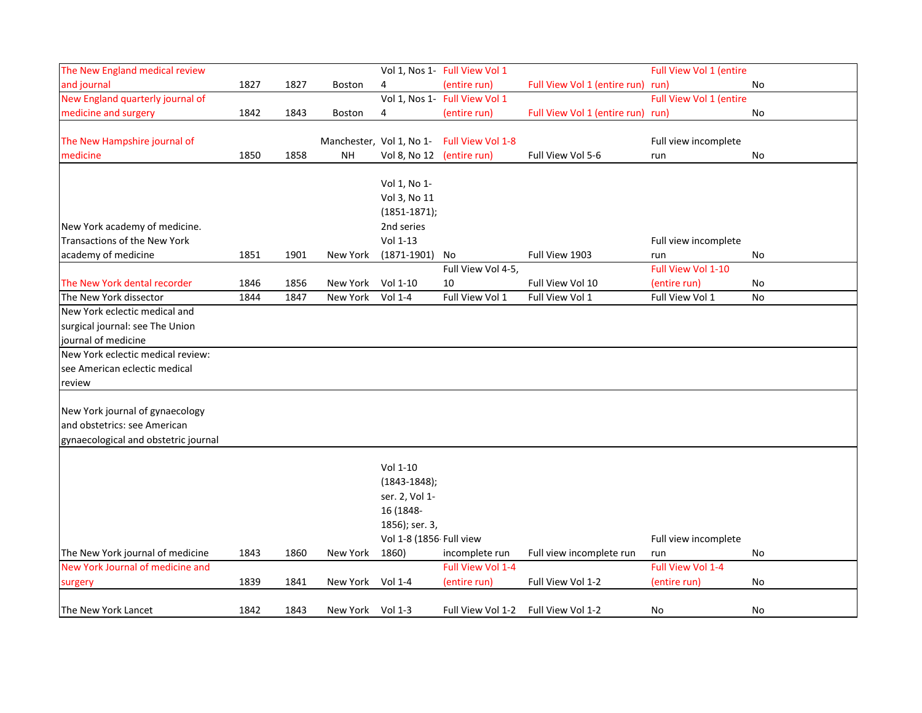| The New England medical review       |      |      |                  |                           | Vol 1, Nos 1- Full View Vol 1              |                                   | Full View Vol 1 (entire |    |
|--------------------------------------|------|------|------------------|---------------------------|--------------------------------------------|-----------------------------------|-------------------------|----|
| and journal                          | 1827 | 1827 | Boston           | 4                         | (entire run)                               | Full View Vol 1 (entire run) run) |                         | No |
| New England quarterly journal of     |      |      |                  |                           | Vol 1, Nos 1- Full View Vol 1              |                                   | Full View Vol 1 (entire |    |
| medicine and surgery                 | 1842 | 1843 | Boston           | 4                         | (entire run)                               | Full View Vol 1 (entire run) run) |                         | No |
|                                      |      |      |                  |                           |                                            |                                   |                         |    |
| The New Hampshire journal of         |      |      |                  |                           | Manchester, Vol 1, No 1- Full View Vol 1-8 |                                   | Full view incomplete    |    |
| medicine                             | 1850 | 1858 | NΗ               | Vol 8, No 12 (entire run) |                                            | Full View Vol 5-6                 | run                     | No |
|                                      |      |      |                  |                           |                                            |                                   |                         |    |
|                                      |      |      |                  | Vol 1, No 1-              |                                            |                                   |                         |    |
|                                      |      |      |                  | Vol 3, No 11              |                                            |                                   |                         |    |
|                                      |      |      |                  | $(1851 - 1871);$          |                                            |                                   |                         |    |
| New York academy of medicine.        |      |      |                  | 2nd series                |                                            |                                   |                         |    |
| Transactions of the New York         |      |      |                  | Vol 1-13                  |                                            |                                   | Full view incomplete    |    |
| academy of medicine                  | 1851 | 1901 | New York         | $(1871 - 1901)$           | No                                         | Full View 1903                    | run                     | No |
|                                      |      |      |                  |                           | Full View Vol 4-5,                         |                                   | Full View Vol 1-10      |    |
| The New York dental recorder         | 1846 | 1856 | New York         | Vol 1-10                  | 10                                         | Full View Vol 10                  | (entire run)            | No |
| The New York dissector               | 1844 | 1847 | New York         | Vol 1-4                   | Full View Vol 1                            | Full View Vol 1                   | Full View Vol 1         | No |
| New York eclectic medical and        |      |      |                  |                           |                                            |                                   |                         |    |
| surgical journal: see The Union      |      |      |                  |                           |                                            |                                   |                         |    |
| journal of medicine                  |      |      |                  |                           |                                            |                                   |                         |    |
| New York eclectic medical review:    |      |      |                  |                           |                                            |                                   |                         |    |
| see American eclectic medical        |      |      |                  |                           |                                            |                                   |                         |    |
| review                               |      |      |                  |                           |                                            |                                   |                         |    |
|                                      |      |      |                  |                           |                                            |                                   |                         |    |
| New York journal of gynaecology      |      |      |                  |                           |                                            |                                   |                         |    |
| and obstetrics: see American         |      |      |                  |                           |                                            |                                   |                         |    |
| gynaecological and obstetric journal |      |      |                  |                           |                                            |                                   |                         |    |
|                                      |      |      |                  |                           |                                            |                                   |                         |    |
|                                      |      |      |                  | Vol 1-10                  |                                            |                                   |                         |    |
|                                      |      |      |                  | $(1843 - 1848);$          |                                            |                                   |                         |    |
|                                      |      |      |                  | ser. 2, Vol 1-            |                                            |                                   |                         |    |
|                                      |      |      |                  | 16 (1848-                 |                                            |                                   |                         |    |
|                                      |      |      |                  | 1856); ser. 3,            |                                            |                                   |                         |    |
|                                      |      |      |                  | Vol 1-8 (1856- Full view  |                                            |                                   | Full view incomplete    |    |
| The New York journal of medicine     | 1843 | 1860 | New York         | 1860)                     | incomplete run                             | Full view incomplete run          | run                     | No |
| New York Journal of medicine and     |      |      |                  |                           | Full View Vol 1-4                          |                                   | Full View Vol 1-4       |    |
| surgery                              | 1839 | 1841 | New York         | Vol 1-4                   | (entire run)                               | Full View Vol 1-2                 | (entire run)            | No |
|                                      |      |      |                  |                           |                                            |                                   |                         |    |
| The New York Lancet                  | 1842 | 1843 | New York Vol 1-3 |                           | Full View Vol 1-2                          | Full View Vol 1-2                 | No                      | No |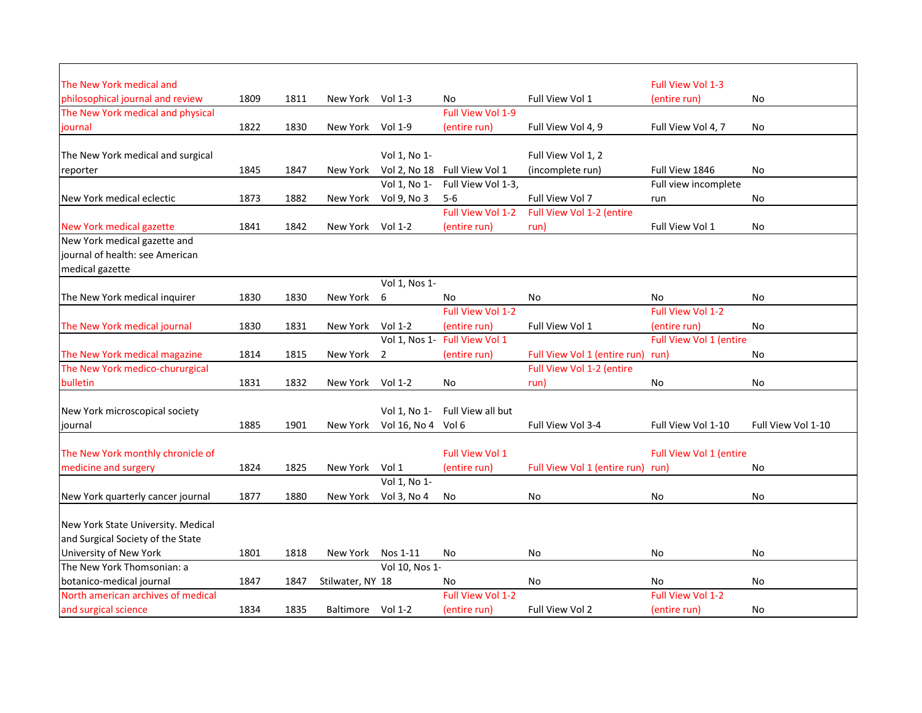| The New York medical and           |      |      |                  |                |                               |                                   | <b>Full View Vol 1-3</b> |                    |
|------------------------------------|------|------|------------------|----------------|-------------------------------|-----------------------------------|--------------------------|--------------------|
| philosophical journal and review   | 1809 | 1811 | New York         | Vol $1-3$      | No                            | Full View Vol 1                   | (entire run)             | No                 |
| The New York medical and physical  |      |      |                  |                | Full View Vol 1-9             |                                   |                          |                    |
| journal                            | 1822 | 1830 | New York         | Vol 1-9        | (entire run)                  | Full View Vol 4, 9                | Full View Vol 4, 7       | No                 |
|                                    |      |      |                  |                |                               |                                   |                          |                    |
| The New York medical and surgical  |      |      |                  | Vol 1, No 1-   |                               | Full View Vol 1, 2                |                          |                    |
| reporter                           | 1845 | 1847 | New York         | Vol 2, No 18   | Full View Vol 1               | (incomplete run)                  | Full View 1846           | No                 |
|                                    |      |      |                  | Vol 1, No 1-   | Full View Vol 1-3,            |                                   | Full view incomplete     |                    |
| New York medical eclectic          | 1873 | 1882 | New York         | Vol 9, No 3    | $5-6$                         | Full View Vol 7                   | run                      | <b>No</b>          |
|                                    |      |      |                  |                | Full View Vol 1-2             | Full View Vol 1-2 (entire         |                          |                    |
| New York medical gazette           | 1841 | 1842 | New York         | Vol $1-2$      | (entire run)                  | run)                              | Full View Vol 1          | No                 |
| New York medical gazette and       |      |      |                  |                |                               |                                   |                          |                    |
| journal of health: see American    |      |      |                  |                |                               |                                   |                          |                    |
| medical gazette                    |      |      |                  |                |                               |                                   |                          |                    |
|                                    |      |      |                  | Vol 1, Nos 1-  |                               |                                   |                          |                    |
| The New York medical inquirer      | 1830 | 1830 | New York         | 6              | No                            | No                                | No                       | No                 |
|                                    |      |      |                  |                | <b>Full View Vol 1-2</b>      |                                   | Full View Vol 1-2        |                    |
| The New York medical journal       | 1830 | 1831 | New York         | Vol 1-2        | (entire run)                  | Full View Vol 1                   | (entire run)             | No                 |
|                                    |      |      |                  |                | Vol 1, Nos 1- Full View Vol 1 |                                   | Full View Vol 1 (entire  |                    |
| The New York medical magazine      | 1814 | 1815 | New York         | $\overline{2}$ | (entire run)                  | Full View Vol 1 (entire run) run) |                          | No                 |
| The New York medico-chururgical    |      |      |                  |                |                               | Full View Vol 1-2 (entire         |                          |                    |
| bulletin                           | 1831 | 1832 | New York         | Vol $1-2$      | No                            | run)                              | <b>No</b>                | <b>No</b>          |
|                                    |      |      |                  |                |                               |                                   |                          |                    |
| New York microscopical society     |      |      |                  | Vol 1, No 1-   | Full View all but             |                                   |                          |                    |
| journal                            | 1885 | 1901 | New York         | Vol 16, No 4   | Vol 6                         | Full View Vol 3-4                 | Full View Vol 1-10       | Full View Vol 1-10 |
|                                    |      |      |                  |                |                               |                                   |                          |                    |
| The New York monthly chronicle of  |      |      |                  |                | <b>Full View Vol 1</b>        |                                   | Full View Vol 1 (entire  |                    |
| medicine and surgery               | 1824 | 1825 | New York         | Vol 1          | (entire run)                  | Full View Vol 1 (entire run)      | run)                     | No                 |
|                                    |      |      |                  | Vol 1, No 1-   |                               |                                   |                          |                    |
| New York quarterly cancer journal  | 1877 | 1880 | New York         | Vol 3, No 4    | No                            | No                                | No                       | No                 |
|                                    |      |      |                  |                |                               |                                   |                          |                    |
| New York State University. Medical |      |      |                  |                |                               |                                   |                          |                    |
| and Surgical Society of the State  |      |      |                  |                |                               |                                   |                          |                    |
| University of New York             | 1801 | 1818 | New York         | Nos 1-11       | No                            | No                                | <b>No</b>                | No                 |
| The New York Thomsonian: a         |      |      |                  | Vol 10, Nos 1- |                               |                                   |                          |                    |
| botanico-medical journal           | 1847 | 1847 | Stilwater, NY 18 |                | No                            | No                                | No.                      | <b>No</b>          |
| North american archives of medical |      |      |                  |                | <b>Full View Vol 1-2</b>      |                                   | Full View Vol 1-2        |                    |
| and surgical science               | 1834 | 1835 | Baltimore        | Vol 1-2        | (entire run)                  | Full View Vol 2                   | (entire run)             | No                 |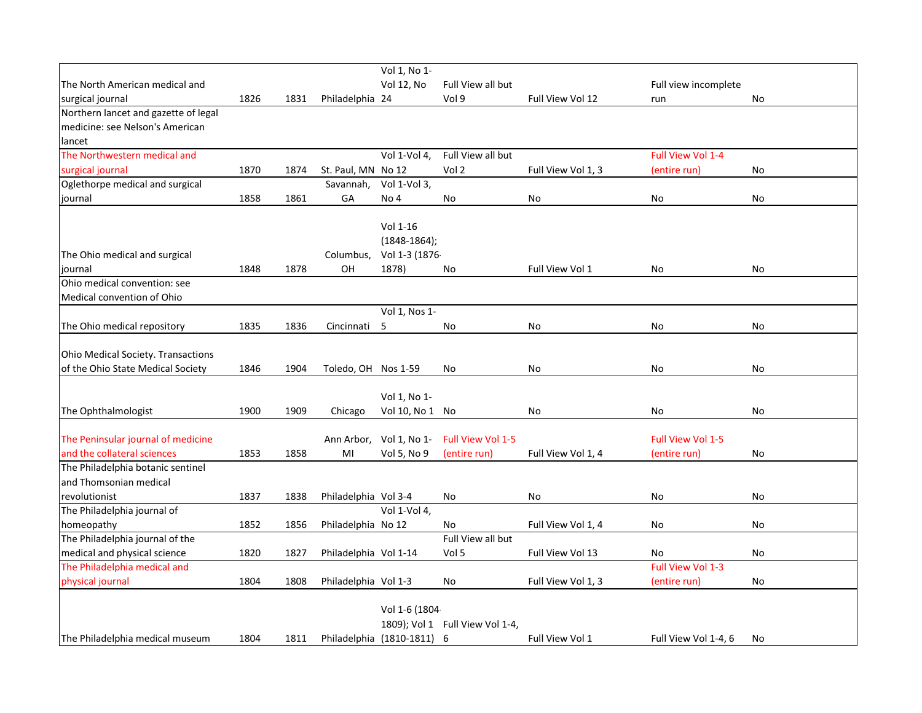|                                               |      |      |                       | Vol 1, No 1-               |                                 |                    |                          |    |
|-----------------------------------------------|------|------|-----------------------|----------------------------|---------------------------------|--------------------|--------------------------|----|
| The North American medical and                |      |      |                       | <b>Vol 12, No</b>          | Full View all but               |                    | Full view incomplete     |    |
| surgical journal                              | 1826 | 1831 | Philadelphia 24       |                            | Vol 9                           | Full View Vol 12   | run                      | No |
| Northern lancet and gazette of legal          |      |      |                       |                            |                                 |                    |                          |    |
| medicine: see Nelson's American               |      |      |                       |                            |                                 |                    |                          |    |
| lancet                                        |      |      |                       |                            |                                 |                    |                          |    |
| The Northwestern medical and                  |      |      |                       | Vol 1-Vol 4,               | Full View all but               |                    | Full View Vol 1-4        |    |
| surgical journal                              | 1870 | 1874 | St. Paul, MN No 12    |                            | Vol 2                           | Full View Vol 1, 3 | (entire run)             | No |
| Oglethorpe medical and surgical               |      |      | Savannah,             | Vol 1-Vol 3,               |                                 |                    |                          |    |
| journal                                       | 1858 | 1861 | GА                    | No 4                       | No                              | No                 | No                       | No |
|                                               |      |      |                       |                            |                                 |                    |                          |    |
|                                               |      |      |                       | Vol 1-16                   |                                 |                    |                          |    |
|                                               |      |      |                       | $(1848-1864);$             |                                 |                    |                          |    |
| The Ohio medical and surgical                 |      |      | Columbus,             | Vol 1-3 (1876-             |                                 |                    |                          |    |
| journal                                       | 1848 | 1878 | OH                    | 1878)                      | No                              | Full View Vol 1    | No                       | No |
| Ohio medical convention: see                  |      |      |                       |                            |                                 |                    |                          |    |
| Medical convention of Ohio                    |      |      |                       |                            |                                 |                    |                          |    |
|                                               |      |      |                       | Vol 1, Nos 1-              |                                 |                    |                          |    |
| The Ohio medical repository                   | 1835 | 1836 | Cincinnati            | 5                          | No                              | No                 | No                       | No |
|                                               |      |      |                       |                            |                                 |                    |                          |    |
| <b>Ohio Medical Society. Transactions</b>     |      |      |                       |                            |                                 |                    |                          |    |
| of the Ohio State Medical Society             | 1846 | 1904 | Toledo, OH Nos 1-59   |                            | No                              | No                 | No                       | No |
|                                               |      |      |                       |                            |                                 |                    |                          |    |
|                                               |      |      |                       | Vol 1, No 1-               |                                 |                    |                          |    |
| The Ophthalmologist                           | 1900 | 1909 | Chicago               | Vol 10, No 1 No            |                                 | No                 | No                       | No |
|                                               |      |      |                       |                            |                                 |                    |                          |    |
| The Peninsular journal of medicine            |      |      |                       | Ann Arbor, Vol 1, No 1-    | Full View Vol 1-5               |                    | <b>Full View Vol 1-5</b> |    |
| and the collateral sciences                   | 1853 | 1858 | MI                    | Vol 5, No 9                | (entire run)                    | Full View Vol 1, 4 | (entire run)             | No |
| The Philadelphia botanic sentinel             |      |      |                       |                            |                                 |                    |                          |    |
| and Thomsonian medical                        |      |      |                       |                            |                                 |                    |                          |    |
| revolutionist                                 | 1837 | 1838 | Philadelphia Vol 3-4  |                            | No                              | No                 | No                       | No |
| The Philadelphia journal of                   |      |      |                       | Vol 1-Vol 4,               |                                 |                    |                          |    |
|                                               |      |      |                       |                            |                                 |                    |                          |    |
| homeopathy<br>The Philadelphia journal of the | 1852 | 1856 | Philadelphia No 12    |                            | No<br>Full View all but         | Full View Vol 1, 4 | No                       | No |
|                                               |      |      |                       |                            |                                 |                    |                          |    |
| medical and physical science                  | 1820 | 1827 | Philadelphia Vol 1-14 |                            | Vol 5                           | Full View Vol 13   | No<br>Full View Vol 1-3  | No |
| The Philadelphia medical and                  |      |      |                       |                            |                                 |                    |                          |    |
| physical journal                              | 1804 | 1808 | Philadelphia Vol 1-3  |                            | No                              | Full View Vol 1, 3 | (entire run)             | No |
|                                               |      |      |                       |                            |                                 |                    |                          |    |
|                                               |      |      |                       | Vol 1-6 (1804-             |                                 |                    |                          |    |
|                                               |      |      |                       |                            | 1809); Vol 1 Full View Vol 1-4, |                    |                          |    |
| The Philadelphia medical museum               | 1804 | 1811 |                       | Philadelphia (1810-1811) 6 |                                 | Full View Vol 1    | Full View Vol 1-4, 6     | No |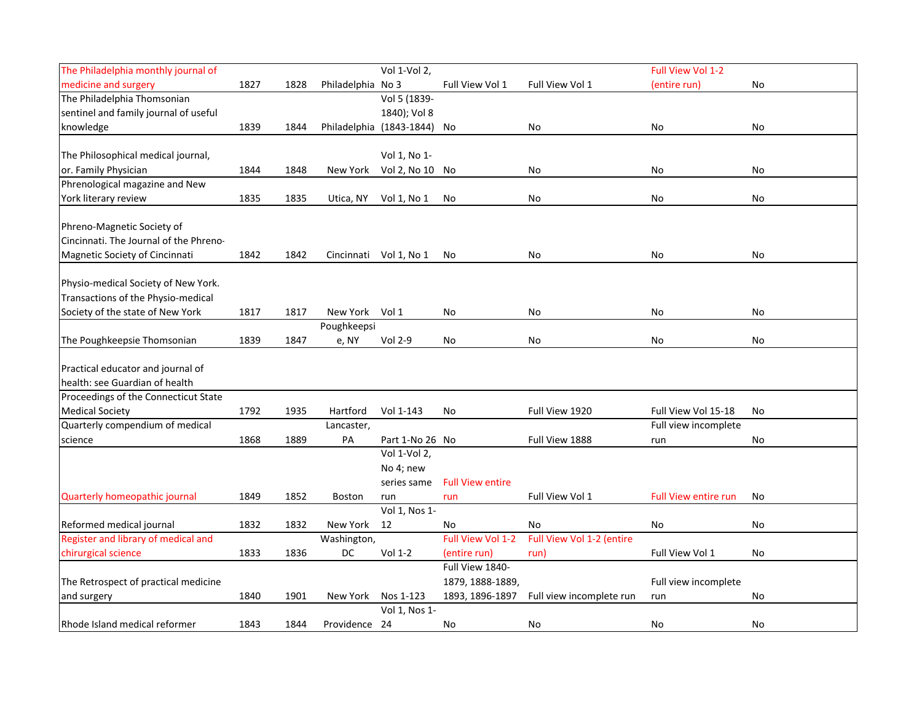| The Philadelphia monthly journal of    |      |      |                   | Vol 1-Vol 2,             |                         |                           | Full View Vol 1-2           |    |
|----------------------------------------|------|------|-------------------|--------------------------|-------------------------|---------------------------|-----------------------------|----|
| medicine and surgery                   | 1827 | 1828 | Philadelphia No 3 |                          | Full View Vol 1         | Full View Vol 1           | (entire run)                | No |
| The Philadelphia Thomsonian            |      |      |                   | Vol 5 (1839-             |                         |                           |                             |    |
| sentinel and family journal of useful  |      |      |                   | 1840); Vol 8             |                         |                           |                             |    |
| knowledge                              | 1839 | 1844 |                   | Philadelphia (1843-1844) | No                      | No                        | No                          | No |
|                                        |      |      |                   |                          |                         |                           |                             |    |
| The Philosophical medical journal,     |      |      |                   | Vol 1, No 1-             |                         |                           |                             |    |
| or. Family Physician                   | 1844 | 1848 | New York          | Vol 2, No 10             | No                      | No                        | No                          | No |
| Phrenological magazine and New         |      |      |                   |                          |                         |                           |                             |    |
| York literary review                   | 1835 | 1835 | Utica, NY         | Vol 1, No 1              | No                      | No                        | No                          | No |
| Phreno-Magnetic Society of             |      |      |                   |                          |                         |                           |                             |    |
| Cincinnati. The Journal of the Phreno- |      |      |                   |                          |                         |                           |                             |    |
| Magnetic Society of Cincinnati         | 1842 | 1842 |                   | Cincinnati Vol 1, No 1   | No                      | No                        | No                          | No |
|                                        |      |      |                   |                          |                         |                           |                             |    |
| Physio-medical Society of New York.    |      |      |                   |                          |                         |                           |                             |    |
| Transactions of the Physio-medical     |      |      |                   |                          |                         |                           |                             |    |
| Society of the state of New York       | 1817 | 1817 | New York Vol 1    |                          | No                      | No                        | No                          | No |
|                                        |      |      | Poughkeepsi       |                          |                         |                           |                             |    |
| The Poughkeepsie Thomsonian            | 1839 | 1847 | e, NY             | Vol 2-9                  | No                      | No                        | No                          | No |
|                                        |      |      |                   |                          |                         |                           |                             |    |
| Practical educator and journal of      |      |      |                   |                          |                         |                           |                             |    |
| health: see Guardian of health         |      |      |                   |                          |                         |                           |                             |    |
| Proceedings of the Connecticut State   |      |      |                   |                          |                         |                           |                             |    |
| <b>Medical Society</b>                 | 1792 | 1935 | Hartford          | Vol 1-143                | No                      | Full View 1920            | Full View Vol 15-18         | No |
| Quarterly compendium of medical        |      |      | Lancaster,        |                          |                         |                           | Full view incomplete        |    |
| science                                | 1868 | 1889 | PА                | Part 1-No 26 No          |                         | Full View 1888            | run                         | No |
|                                        |      |      |                   | Vol 1-Vol 2,             |                         |                           |                             |    |
|                                        |      |      |                   | No 4; new                |                         |                           |                             |    |
|                                        |      |      |                   | series same              | <b>Full View entire</b> |                           |                             |    |
| Quarterly homeopathic journal          | 1849 | 1852 | Boston            | run                      | run                     | Full View Vol 1           | <b>Full View entire run</b> | No |
|                                        |      |      |                   | Vol 1, Nos 1-            |                         |                           |                             |    |
| Reformed medical journal               | 1832 | 1832 | New York          | 12                       | No                      | No                        | No                          | No |
| Register and library of medical and    |      |      | Washington,       |                          | Full View Vol 1-2       | Full View Vol 1-2 (entire |                             |    |
| chirurgical science                    | 1833 | 1836 | DC                | Vol 1-2                  | (entire run)            | run)                      | Full View Vol 1             | No |
|                                        |      |      |                   |                          | Full View 1840-         |                           |                             |    |
| The Retrospect of practical medicine   |      |      |                   |                          | 1879, 1888-1889,        |                           | Full view incomplete        |    |
| and surgery                            | 1840 | 1901 | New York          | Nos 1-123                | 1893, 1896-1897         | Full view incomplete run  | run                         | No |
|                                        |      |      |                   | Vol 1, Nos 1-            |                         |                           |                             |    |
| Rhode Island medical reformer          | 1843 | 1844 | Providence 24     |                          | No                      | No                        | No                          | No |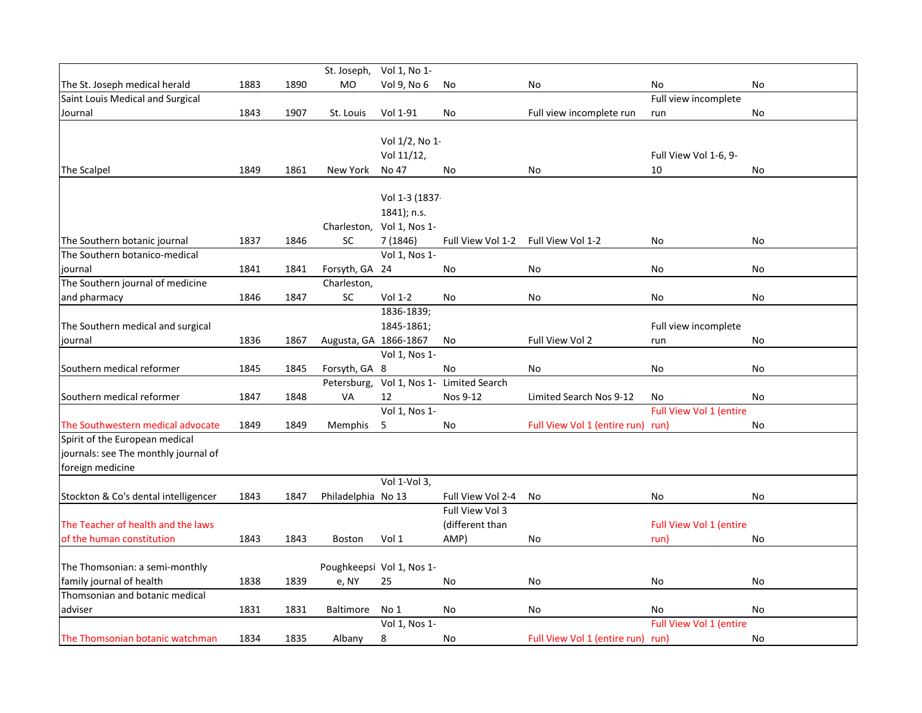|                                                            |      |      |                       | St. Joseph, Vol 1, No 1-  |                                          |                              |                               |           |
|------------------------------------------------------------|------|------|-----------------------|---------------------------|------------------------------------------|------------------------------|-------------------------------|-----------|
| The St. Joseph medical herald                              | 1883 | 1890 | <b>MO</b>             | Vol 9, No 6               | No                                       | <b>No</b>                    | <b>No</b>                     | <b>No</b> |
| Saint Louis Medical and Surgical                           |      |      |                       |                           |                                          |                              | Full view incomplete          |           |
| Journal                                                    | 1843 | 1907 | St. Louis             | Vol 1-91                  | No                                       | Full view incomplete run     | run                           | No        |
|                                                            |      |      |                       |                           |                                          |                              |                               |           |
|                                                            |      |      |                       | Vol 1/2, No 1-            |                                          |                              |                               |           |
|                                                            |      |      |                       | Vol 11/12,                |                                          |                              | Full View Vol 1-6, 9-         |           |
| The Scalpel                                                | 1849 | 1861 | New York              | No 47                     | No                                       | No                           | 10                            | No.       |
|                                                            |      |      |                       |                           |                                          |                              |                               |           |
|                                                            |      |      |                       | Vol 1-3 (1837-            |                                          |                              |                               |           |
|                                                            |      |      |                       | 1841); n.s.               |                                          |                              |                               |           |
|                                                            |      |      |                       | Charleston, Vol 1, Nos 1- |                                          |                              |                               |           |
| The Southern botanic journal                               | 1837 | 1846 | SC                    | 7 (1846)                  | Full View Vol 1-2                        | Full View Vol 1-2            | No                            | No        |
| The Southern botanico-medical                              |      |      |                       | Vol 1, Nos 1-             |                                          |                              |                               |           |
| journal                                                    | 1841 | 1841 | Forsyth, GA 24        |                           | No                                       | No                           | <b>No</b>                     | No        |
| The Southern journal of medicine                           |      |      | Charleston,           |                           |                                          |                              |                               |           |
| and pharmacy                                               | 1846 | 1847 | $\sf SC$              | Vol 1-2                   | No                                       | No                           | No                            | No        |
|                                                            |      |      |                       | 1836-1839;                |                                          |                              |                               |           |
| The Southern medical and surgical                          |      |      |                       | 1845-1861;                |                                          |                              | Full view incomplete          |           |
| journal                                                    | 1836 | 1867 | Augusta, GA 1866-1867 |                           | No                                       | Full View Vol 2              | run                           | <b>No</b> |
|                                                            |      |      |                       | Vol 1, Nos 1-             |                                          |                              |                               |           |
| Southern medical reformer                                  | 1845 | 1845 | Forsyth, GA 8         |                           | No                                       | No                           | No                            | No        |
|                                                            |      |      |                       |                           | Petersburg, Vol 1, Nos 1- Limited Search |                              |                               |           |
| Southern medical reformer                                  | 1847 | 1848 | VA                    | 12                        | Nos 9-12                                 | Limited Search Nos 9-12      | No                            | <b>No</b> |
|                                                            |      |      |                       | Vol 1, Nos 1-             |                                          |                              | Full View Vol 1 (entire       |           |
| The Southwestern medical advocate                          | 1849 | 1849 | Memphis               | 5                         | No                                       | Full View Vol 1 (entire run) | run)                          | No        |
| Spirit of the European medical                             |      |      |                       |                           |                                          |                              |                               |           |
| journals: see The monthly journal of                       |      |      |                       |                           |                                          |                              |                               |           |
| foreign medicine                                           |      |      |                       |                           |                                          |                              |                               |           |
|                                                            |      |      |                       | Vol 1-Vol 3,              |                                          |                              |                               |           |
| Stockton & Co's dental intelligencer                       | 1843 | 1847 | Philadelphia No 13    |                           | Full View Vol 2-4                        | No                           | No                            | No        |
|                                                            |      |      |                       |                           | Full View Vol 3                          |                              |                               |           |
| The Teacher of health and the laws                         |      |      |                       |                           | (different than                          |                              | Full View Vol 1 (entire       |           |
| of the human constitution                                  | 1843 | 1843 | <b>Boston</b>         | Vol 1                     | AMP)                                     | No                           | run)                          | No        |
|                                                            |      |      |                       |                           |                                          |                              |                               |           |
| The Thomsonian: a semi-monthly<br>family journal of health | 1838 | 1839 |                       | Poughkeepsi Vol 1, Nos 1- |                                          |                              | <b>No</b>                     |           |
| Thomsonian and botanic medical                             |      |      | e, NY                 | 25                        | No                                       | No                           |                               | No        |
| adviser                                                    | 1831 | 1831 | Baltimore             | No 1                      | No                                       | No                           |                               | No        |
|                                                            |      |      |                       | Vol 1, Nos 1-             |                                          |                              | No<br>Full View Vol 1 (entire |           |
| The Thomsonian botanic watchman                            | 1834 | 1835 |                       | $\bf 8$                   |                                          |                              |                               | <b>No</b> |
|                                                            |      |      | Albany                |                           | No                                       | Full View Vol 1 (entire run) | run)                          |           |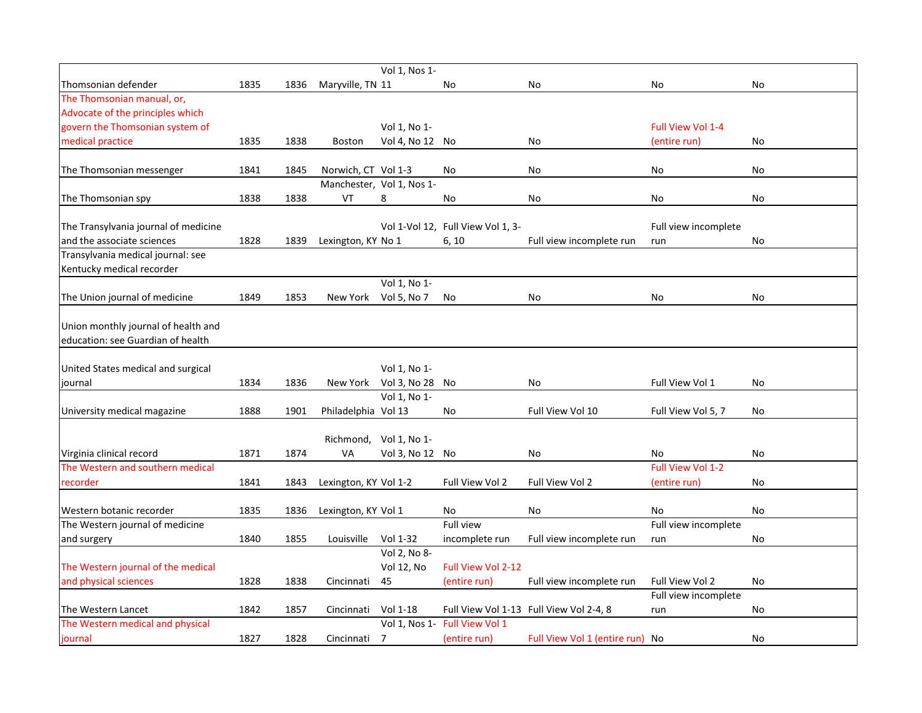|                                                        |      |      |                       | Vol 1, Nos 1-             |                                   |                                         |                      |    |
|--------------------------------------------------------|------|------|-----------------------|---------------------------|-----------------------------------|-----------------------------------------|----------------------|----|
| Thomsonian defender                                    | 1835 | 1836 | Maryville, TN 11      |                           | No                                | No                                      | No                   | No |
| The Thomsonian manual, or,                             |      |      |                       |                           |                                   |                                         |                      |    |
| Advocate of the principles which                       |      |      |                       |                           |                                   |                                         |                      |    |
| govern the Thomsonian system of                        |      |      |                       | Vol 1, No 1-              |                                   |                                         | Full View Vol 1-4    |    |
| medical practice                                       | 1835 | 1838 | <b>Boston</b>         | Vol 4, No 12 No           |                                   | No                                      | (entire run)         | No |
|                                                        |      |      |                       |                           |                                   |                                         |                      |    |
| The Thomsonian messenger                               | 1841 | 1845 | Norwich, CT Vol 1-3   |                           | No                                | No                                      | No                   | No |
|                                                        |      |      |                       | Manchester, Vol 1, Nos 1- |                                   |                                         |                      |    |
| The Thomsonian spy                                     | 1838 | 1838 | VT                    | 8                         | No                                | No                                      | No                   | No |
|                                                        |      |      |                       |                           |                                   |                                         |                      |    |
| The Transylvania journal of medicine                   |      |      |                       |                           | Vol 1-Vol 12, Full View Vol 1, 3- |                                         | Full view incomplete |    |
| and the associate sciences                             | 1828 | 1839 | Lexington, KY No 1    |                           | 6, 10                             | Full view incomplete run                | run                  | No |
| Transylvania medical journal: see                      |      |      |                       |                           |                                   |                                         |                      |    |
| Kentucky medical recorder                              |      |      |                       | Vol 1, No 1-              |                                   |                                         |                      |    |
| The Union journal of medicine                          | 1849 | 1853 | New York              | Vol 5, No 7               | No                                | No                                      | No                   | No |
|                                                        |      |      |                       |                           |                                   |                                         |                      |    |
| Union monthly journal of health and                    |      |      |                       |                           |                                   |                                         |                      |    |
| education: see Guardian of health                      |      |      |                       |                           |                                   |                                         |                      |    |
|                                                        |      |      |                       |                           |                                   |                                         |                      |    |
| United States medical and surgical                     |      |      |                       | Vol 1, No 1-              |                                   |                                         |                      |    |
| journal                                                | 1834 | 1836 | New York              | Vol 3, No 28              | No                                | No                                      | Full View Vol 1      | No |
|                                                        |      |      |                       | Vol 1, No 1-              |                                   |                                         |                      |    |
| University medical magazine                            | 1888 | 1901 | Philadelphia Vol 13   |                           | No                                | Full View Vol 10                        | Full View Vol 5, 7   | No |
|                                                        |      |      |                       |                           |                                   |                                         |                      |    |
|                                                        |      |      | Richmond,             | Vol 1, No 1-              |                                   |                                         |                      |    |
| Virginia clinical record                               | 1871 | 1874 | VA                    | Vol 3, No 12 No           |                                   | No                                      | No                   | No |
| The Western and southern medical                       |      |      |                       |                           |                                   |                                         | Full View Vol 1-2    |    |
| recorder                                               | 1841 | 1843 | Lexington, KY Vol 1-2 |                           | Full View Vol 2                   | Full View Vol 2                         | (entire run)         | No |
|                                                        |      |      |                       |                           |                                   |                                         |                      |    |
| Western botanic recorder                               | 1835 | 1836 | Lexington, KY Vol 1   |                           | No                                | No                                      | No                   | No |
| The Western journal of medicine                        |      |      |                       |                           | <b>Full view</b>                  |                                         | Full view incomplete |    |
| and surgery                                            | 1840 | 1855 | Louisville            | Vol 1-32                  | incomplete run                    | Full view incomplete run                | run                  | No |
|                                                        |      |      |                       | Vol 2, No 8-              |                                   |                                         |                      |    |
| The Western journal of the medical                     |      |      |                       | Vol 12, No                | Full View Vol 2-12                |                                         |                      |    |
| and physical sciences                                  | 1828 | 1838 | Cincinnati            | 45                        | (entire run)                      | Full view incomplete run                | Full View Vol 2      | No |
|                                                        |      |      |                       |                           |                                   |                                         | Full view incomplete |    |
| The Western Lancet<br>The Western medical and physical | 1842 | 1857 | Cincinnati            | Vol 1-18                  | Vol 1, Nos 1- Full View Vol 1     | Full View Vol 1-13 Full View Vol 2-4, 8 | run                  | No |
|                                                        | 1827 |      |                       |                           |                                   |                                         |                      |    |
| journal                                                |      | 1828 | Cincinnati            | 7                         | (entire run)                      | Full View Vol 1 (entire run) No         |                      | No |